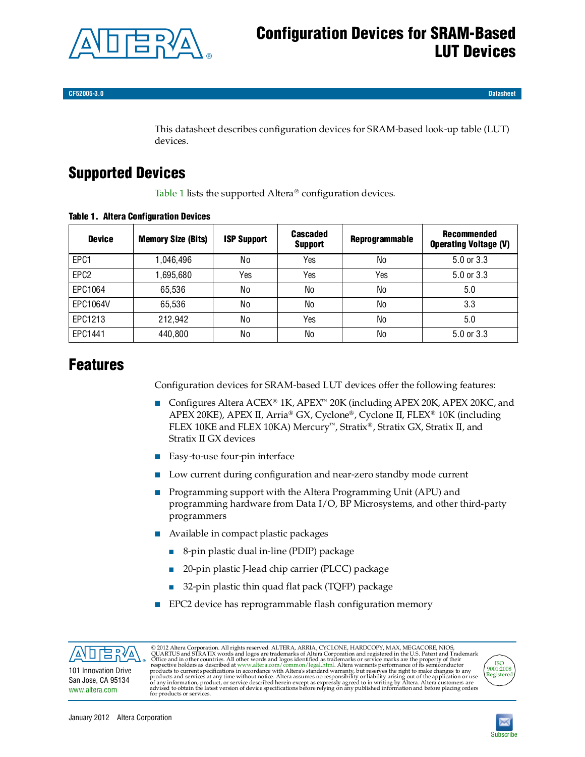

**CF52005-3.0 Datasheet**

This datasheet describes configuration devices for SRAM-based look-up table (LUT) devices.

# **Supported Devices**

[Table 1](#page-0-0) lists the supported Altera<sup>®</sup> configuration devices.

| <b>Device</b>    | <b>Memory Size (Bits)</b> | <b>ISP Support</b> | <b>Cascaded</b><br><b>Support</b> | <b>Reprogrammable</b> | Recommended<br><b>Operating Voltage (V)</b> |
|------------------|---------------------------|--------------------|-----------------------------------|-----------------------|---------------------------------------------|
| EPC1             | 1.046.496                 | No                 | Yes                               | No                    | $5.0$ or $3.3$                              |
| EPC <sub>2</sub> | 1,695,680                 | Yes                | Yes                               | Yes                   | 5.0 or 3.3                                  |
| EPC1064          | 65,536                    | No                 | No                                | No                    | 5.0                                         |
| EPC1064V         | 65,536                    | No                 | No                                | No                    | 3.3                                         |
| EPC1213          | 212,942                   | No                 | Yes                               | No                    | 5.0                                         |
| EPC1441          | 440,800                   | No                 | No                                | No                    | $5.0$ or $3.3$                              |

### <span id="page-0-0"></span>**Table 1. Altera Configuration Devices**

# **Features**

Configuration devices for SRAM-based LUT devices offer the following features:

- Configures Altera ACEX<sup>®</sup> 1K, APEX<sup>™</sup> 20K (including APEX 20K, APEX 20KC, and APEX 20KE), APEX II, Arria® GX, Cyclone®, Cyclone II, FLEX® 10K (including FLEX 10KE and FLEX 10KA) Mercury<sup>71</sup>, Stratix®, Stratix GX, Stratix II, and Stratix II GX devices
- Easy-to-use four-pin interface
- Low current during configuration and near-zero standby mode current
- Programming support with the Altera Programming Unit (APU) and programming hardware from Data I/O, BP Microsystems, and other third-party programmers
- Available in compact plastic packages
	- 8-pin plastic dual in-line (PDIP) package
	- 20-pin plastic J-lead chip carrier (PLCC) package
	- 32-pin plastic thin quad flat pack (TQFP) package
- EPC2 device has reprogrammable flash configuration memory



[www.altera.com](http://www.altera.com)

© 2012 Altera Corporation. All rights reserved. ALTERA, ARRIA, CYCLONE, HARDCOPY, MAX, MEGACORE, NIOS, QUARTUS and STRATIX words and logos are trademarks of Altera Corporation and registered in the U.S. Patent and Tradema



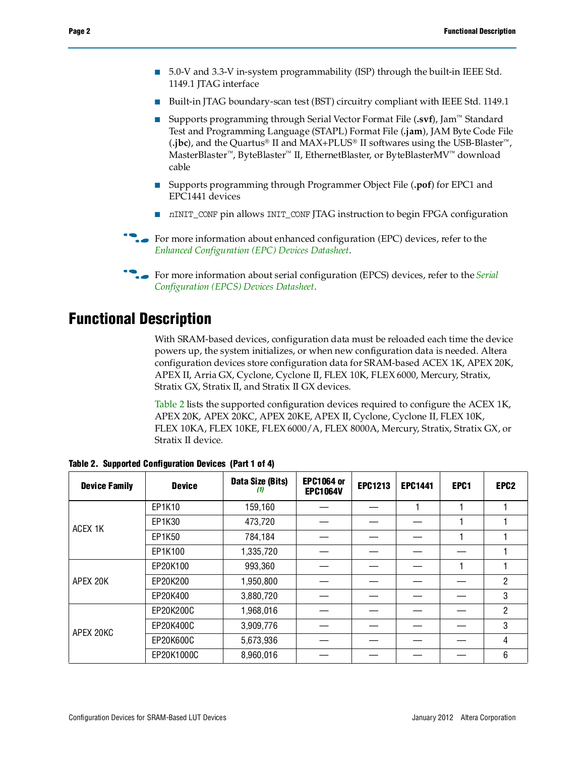- 5.0-V and 3.3-V in-system programmability (ISP) through the built-in IEEE Std. 1149.1 JTAG interface
- Built-in JTAG boundary-scan test (BST) circuitry compliant with IEEE Std. 1149.1
- Supports programming through Serial Vector Format File (**.svf**), Jam<sup>™</sup> Standard Test and Programming Language (STAPL) Format File (**.jam**), JAM Byte Code File  $(i)$ jbc), and the Quartus<sup>®</sup> II and MAX+PLUS<sup>®</sup> II softwares using the USB-Blaster<sup>™</sup>, MasterBlaster<sup>™</sup>, ByteBlaster<sup>™</sup> II, EthernetBlaster, or ByteBlasterMV<sup>™</sup> download cable
- Supports programming through Programmer Object File (**.pof**) for EPC1 and EPC1441 devices
- *n*INIT\_CONF pin allows INIT\_CONF JTAG instruction to begin FPGA configuration
- **For more information about enhanced configuration (EPC) devices, refer to the** *[Enhanced Configuration \(EPC\) Devices Datasheet](http://www.altera.com/literature/hb/cfg/cfg_cf52001.pdf)*.
- **for more information about serial configuration (EPCS) devices, refer to the** *Serial* **<b>devices** *[Configuration \(EPCS\) Devices Datasheet](http://www.altera.com/literature/hb/cfg/cyc_c51014.pdf)*.

# **Functional Description**

With SRAM-based devices, configuration data must be reloaded each time the device powers up, the system initializes, or when new configuration data is needed. Altera configuration devices store configuration data for SRAM-based ACEX 1K, APEX 20K, APEX II, Arria GX, Cyclone, Cyclone II, FLEX 10K, FLEX 6000, Mercury, Stratix, Stratix GX, Stratix II, and Stratix II GX devices.

[Table 2](#page-1-0) lists the supported configuration devices required to configure the ACEX 1K, APEX 20K, APEX 20KC, APEX 20KE, APEX II, Cyclone, Cyclone II, FLEX 10K, FLEX 10KA, FLEX 10KE, FLEX 6000/A, FLEX 8000A, Mercury, Stratix, Stratix GX, or Stratix II device.

| <b>Device Family</b> | <b>Device</b> | Data Size (Bits)<br>[1] | <b>EPC1064 or</b><br><b>EPC1064V</b> | <b>EPC1213</b> | <b>EPC1441</b> | EPC1 | EPC <sub>2</sub> |
|----------------------|---------------|-------------------------|--------------------------------------|----------------|----------------|------|------------------|
|                      | EP1K10        | 159,160                 |                                      |                |                |      |                  |
| ACEX 1K              | EP1K30        | 473,720                 |                                      |                |                |      |                  |
|                      | EP1K50        | 784,184                 |                                      |                |                |      |                  |
|                      | EP1K100       | 1,335,720               |                                      |                |                |      |                  |
|                      | EP20K100      | 993,360                 |                                      |                |                |      |                  |
| APEX 20K             | EP20K200      | 1,950,800               |                                      |                |                |      | 2                |
|                      | EP20K400      | 3,880,720               |                                      |                |                |      | 3                |
|                      | EP20K200C     | 1,968,016               |                                      |                |                |      | 2                |
| APEX 20KC            | EP20K400C     | 3,909,776               |                                      |                |                |      | 3                |
|                      | EP20K600C     | 5,673,936               |                                      |                |                |      | 4                |
|                      | EP20K1000C    | 8,960,016               |                                      |                |                |      | 6                |

<span id="page-1-0"></span>**Table 2. Supported Configuration Devices (Part 1 of 4)**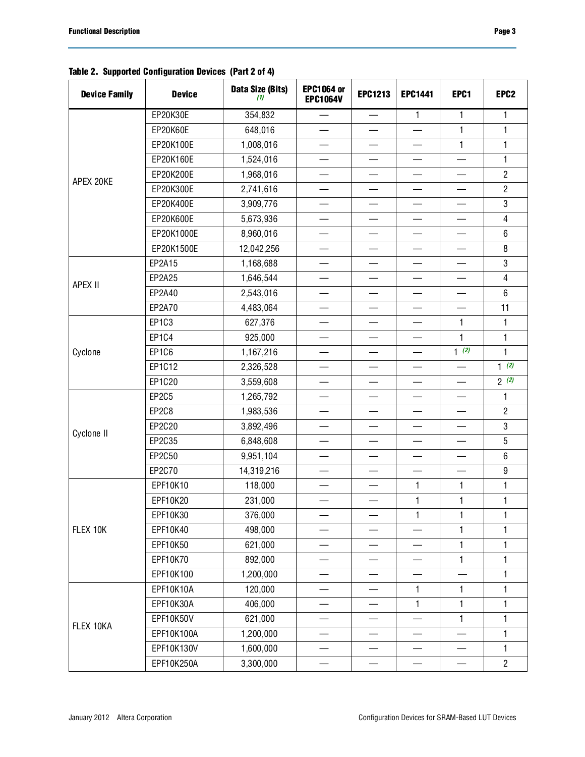### **Table 2. Supported Configuration Devices (Part 2 of 4)**

| <b>Device Family</b> | <b>Device</b> | Data Size (Bits)<br>(1) | <b>EPC1064 or</b><br><b>EPC1064V</b> | <b>EPC1213</b>                 | <b>EPC1441</b>           | EPC1                              | EPC <sub>2</sub> |
|----------------------|---------------|-------------------------|--------------------------------------|--------------------------------|--------------------------|-----------------------------------|------------------|
| APEX 20KE            | EP20K30E      | 354,832                 | $\qquad \qquad$                      | $\qquad \qquad$                | $\mathbf{1}$             | 1                                 | $\mathbf{1}$     |
|                      | EP20K60E      | 648,016                 | $\qquad \qquad$                      | $\qquad \qquad$                | $\overline{\phantom{0}}$ | 1                                 | 1                |
|                      | EP20K100E     | 1,008,016               |                                      |                                |                          | 1                                 | $\mathbf{1}$     |
|                      | EP20K160E     | 1,524,016               |                                      | $\overline{\phantom{0}}$       |                          |                                   | $\mathbf{1}$     |
|                      | EP20K200E     | 1,968,016               |                                      |                                |                          |                                   | $\overline{2}$   |
|                      | EP20K300E     | 2,741,616               |                                      |                                |                          |                                   | $\overline{2}$   |
|                      | EP20K400E     | 3,909,776               |                                      |                                |                          |                                   | $\mathbf{3}$     |
|                      | EP20K600E     | 5,673,936               |                                      |                                |                          |                                   | $\overline{4}$   |
|                      | EP20K1000E    | 8,960,016               |                                      | $\overline{\phantom{0}}$       | —                        |                                   | 6                |
|                      | EP20K1500E    | 12,042,256              |                                      |                                |                          |                                   | 8                |
|                      | EP2A15        | 1,168,688               | —                                    | —                              |                          | —                                 | $\mathbf 3$      |
| APEX II              | EP2A25        | 1,646,544               |                                      |                                |                          |                                   | $\overline{4}$   |
|                      | EP2A40        | 2,543,016               |                                      |                                |                          |                                   | 6                |
|                      | EP2A70        | 4,483,064               | $\overline{\phantom{m}}$             | $\qquad \qquad$                | $\overline{\phantom{0}}$ | $\overbrace{\phantom{123221111}}$ | 11               |
|                      | EP1C3         | 627,376                 |                                      |                                | $\overline{\phantom{0}}$ | $\mathbf{1}$                      | $\mathbf{1}$     |
|                      | <b>EP1C4</b>  | 925,000                 |                                      | $\qquad \qquad$                |                          | $\mathbf{1}$                      | $\mathbf{1}$     |
| Cyclone              | EP1C6         | 1,167,216               |                                      |                                |                          | $1$ (2)                           | $\mathbf{1}$     |
|                      | EP1C12        | 2,326,528               | —                                    | —                              |                          |                                   | $1^{(2)}$        |
|                      | EP1C20        | 3,559,608               | $\qquad \qquad$                      | $\qquad \qquad \longleftarrow$ |                          |                                   | 2(2)             |
|                      | <b>EP2C5</b>  | 1,265,792               |                                      |                                |                          |                                   | 1                |
|                      | EP2C8         | 1,983,536               | —                                    | —                              |                          | —                                 | $\overline{2}$   |
| Cyclone II           | EP2C20        | 3,892,496               |                                      |                                |                          |                                   | 3                |
|                      | EP2C35        | 6,848,608               |                                      |                                |                          |                                   | $\sqrt{5}$       |
|                      | EP2C50        | 9,951,104               | —                                    |                                |                          |                                   | $6\phantom{1}$   |
|                      | EP2C70        | 14,319,216              | $\equiv$                             | $\overline{\phantom{0}}$       | $\overline{\phantom{a}}$ |                                   | $\boldsymbol{9}$ |
|                      | EPF10K10      | 118,000                 |                                      | $\qquad \qquad$                | $\mathbf{1}$             | 1                                 | 1                |
|                      | EPF10K20      | 231,000                 |                                      |                                | $\mathbf{1}$             | $\mathbf{1}$                      | $\mathbf{1}$     |
|                      | EPF10K30      | 376,000                 |                                      |                                | $\mathbf{1}$             | 1                                 | 1                |
| FLEX 10K             | EPF10K40      | 498,000                 |                                      |                                |                          | 1                                 | 1                |
|                      | EPF10K50      | 621,000                 |                                      |                                |                          | 1                                 | 1                |
|                      | EPF10K70      | 892,000                 | —                                    | $\overline{\phantom{0}}$       |                          | $\mathbf{1}$                      | 1                |
|                      | EPF10K100     | 1,200,000               |                                      |                                |                          |                                   | 1                |
|                      | EPF10K10A     | 120,000                 |                                      |                                | $\mathbf{1}$             | 1                                 | 1                |
|                      | EPF10K30A     | 406,000                 |                                      |                                | $\mathbf{1}$             | 1                                 | $\mathbf{1}$     |
| FLEX 10KA            | EPF10K50V     | 621,000                 |                                      |                                |                          | 1                                 | 1                |
|                      | EPF10K100A    | 1,200,000               |                                      |                                |                          |                                   | 1                |
|                      | EPF10K130V    | 1,600,000               |                                      |                                |                          |                                   | $\mathbf{1}$     |
|                      | EPF10K250A    | 3,300,000               |                                      |                                |                          |                                   | $\overline{2}$   |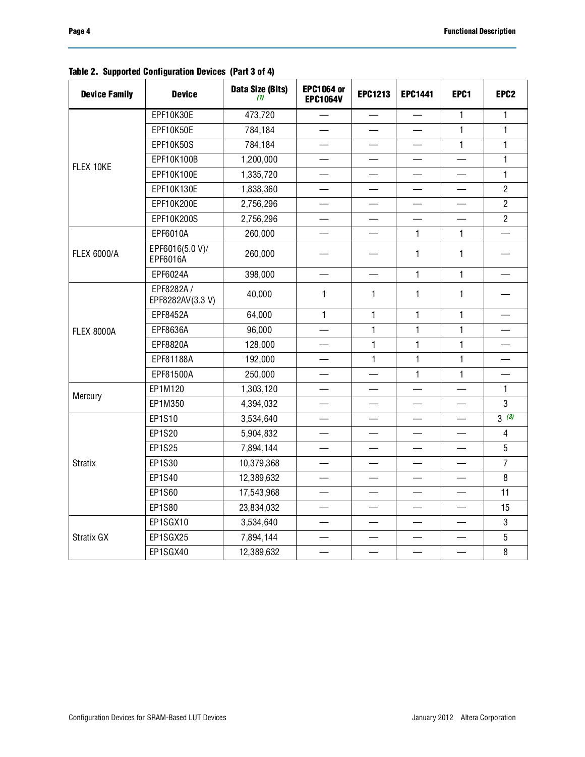| <b>Device Family</b> | <b>Device</b>                  | Data Size (Bits)<br>(1) | <b>EPC1064 or</b><br><b>EPC1064V</b> | <b>EPC1213</b>           | <b>EPC1441</b>           | EPC1                     | EPC <sub>2</sub>  |
|----------------------|--------------------------------|-------------------------|--------------------------------------|--------------------------|--------------------------|--------------------------|-------------------|
|                      | EPF10K30E                      | 473,720                 | $\qquad \qquad$                      | $\overline{\phantom{0}}$ |                          | $\mathbf{1}$             | 1                 |
|                      | EPF10K50E                      | 784,184                 |                                      |                          |                          | $\mathbf{1}$             | $\mathbf{1}$      |
|                      | <b>EPF10K50S</b>               | 784,184                 |                                      |                          |                          | $\mathbf{1}$             | $\mathbf{1}$      |
|                      | EPF10K100B                     | 1,200,000               |                                      |                          |                          |                          | $\mathbf{1}$      |
| FLEX 10KE            | EPF10K100E                     | 1,335,720               |                                      |                          |                          |                          | $\mathbf{1}$      |
|                      | EPF10K130E                     | 1,838,360               |                                      |                          |                          |                          | $\overline{2}$    |
|                      | EPF10K200E                     | 2,756,296               |                                      |                          |                          |                          | $\overline{2}$    |
|                      | EPF10K200S                     | 2,756,296               |                                      |                          |                          |                          | $\overline{2}$    |
|                      | EPF6010A                       | 260,000                 |                                      | $\overline{\phantom{0}}$ | $\mathbf{1}$             | $\mathbf{1}$             |                   |
| <b>FLEX 6000/A</b>   | EPF6016(5.0 V)/<br>EPF6016A    | 260,000                 |                                      | $\overline{\phantom{0}}$ | 1                        | $\mathbf{1}$             |                   |
|                      | EPF6024A                       | 398,000                 |                                      |                          | $\mathbf{1}$             | $\mathbf{1}$             |                   |
|                      | EPF8282A /<br>EPF8282AV(3.3 V) | 40,000                  | $\mathbf{1}$                         | $\mathbf{1}$             | 1                        | $\mathbf{1}$             |                   |
|                      | EPF8452A                       | 64,000                  | $\mathbf{1}$                         | $\mathbf{1}$             | $\mathbf{1}$             | $\mathbf{1}$             |                   |
| <b>FLEX 8000A</b>    | EPF8636A                       | 96,000                  | $\overline{\phantom{0}}$             | $\mathbf{1}$             | 1                        | $\mathbf{1}$             |                   |
|                      | EPF8820A                       | 128,000                 |                                      | $\mathbf{1}$             | $\mathbf{1}$             | $\mathbf{1}$             |                   |
|                      | EPF81188A                      | 192,000                 |                                      | 1                        | $\mathbf{1}$             | 1                        |                   |
|                      | EPF81500A                      | 250,000                 |                                      |                          | 1                        | $\mathbf{1}$             |                   |
| Mercury              | EP1M120                        | 1,303,120               |                                      |                          |                          |                          | $\mathbf{1}$      |
|                      | EP1M350                        | 4,394,032               |                                      |                          |                          |                          | 3                 |
|                      | EP1S10                         | 3,534,640               |                                      |                          |                          |                          | $3\overline{(3)}$ |
|                      | EP1S20                         | 5,904,832               |                                      |                          |                          |                          | 4                 |
|                      | EP1S25                         | 7,894,144               |                                      | —                        |                          | $\overline{\phantom{0}}$ | 5                 |
| Stratix              | EP1S30                         | 10,379,368              |                                      |                          |                          |                          | $\overline{7}$    |
|                      | EP1S40                         | 12,389,632              | $\overline{\phantom{0}}$             | $\overline{\phantom{0}}$ |                          |                          | 8                 |
|                      | EP1S60                         | 17,543,968              |                                      |                          |                          |                          | 11                |
|                      | EP1S80                         | 23,834,032              |                                      |                          |                          |                          | 15                |
|                      | EP1SGX10                       | 3,534,640               |                                      |                          |                          |                          | 3                 |
| Stratix GX           | EP1SGX25                       | 7,894,144               |                                      |                          | $\overline{\phantom{0}}$ | $\qquad \qquad$          | 5                 |
|                      | EP1SGX40                       | 12,389,632              |                                      | $\overline{\phantom{0}}$ | $\overline{\phantom{0}}$ |                          | 8                 |

### **Table 2. Supported Configuration Devices (Part 3 of 4)**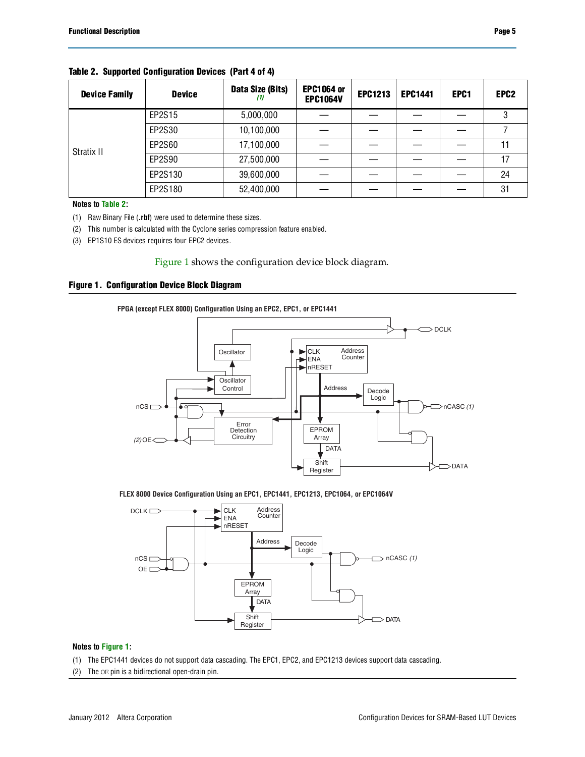| <b>Device Family</b> | <b>Device</b> | Data Size (Bits)<br>(1) | <b>EPC1064 or</b><br><b>EPC1064V</b> | <b>EPC1213</b> | <b>EPC1441</b> | EPC1 | EPC <sub>2</sub> |
|----------------------|---------------|-------------------------|--------------------------------------|----------------|----------------|------|------------------|
|                      | EP2S15        | 5,000,000               |                                      |                |                |      | 3                |
|                      | EP2S30        | 10,100,000              |                                      |                |                |      |                  |
| Stratix II           | EP2S60        | 17,100,000              |                                      |                |                |      | 11               |
|                      | EP2S90        | 27,500,000              |                                      |                |                |      | 17               |
|                      | EP2S130       | 39,600,000              |                                      |                |                |      | 24               |
|                      | EP2S180       | 52,400,000              |                                      |                |                |      | 31               |

#### **Table 2. Supported Configuration Devices (Part 4 of 4)**

**Notes to [Table 2:](#page-1-0)**

<span id="page-4-0"></span>(1) Raw Binary File (**.rbf**) were used to determine these sizes.

<span id="page-4-1"></span>(2) This number is calculated with the Cyclone series compression feature enabled.

<span id="page-4-2"></span>(3) EP1S10 ES devices requires four EPC2 devices.

[Figure 1](#page-4-3) shows the configuration device block diagram.

#### <span id="page-4-3"></span>**Figure 1. Configuration Device Block Diagram**



#### **FLEX 8000 Device Configuration Using an EPC1, EPC1441, EPC1213, EPC1064, or EPC1064V**



#### **Notes to [Figure 1:](#page-4-3)**

- (1) The EPC1441 devices do not support data cascading. The EPC1, EPC2, and EPC1213 devices support data cascading.
- (2) The OE pin is a bidirectional open-drain pin.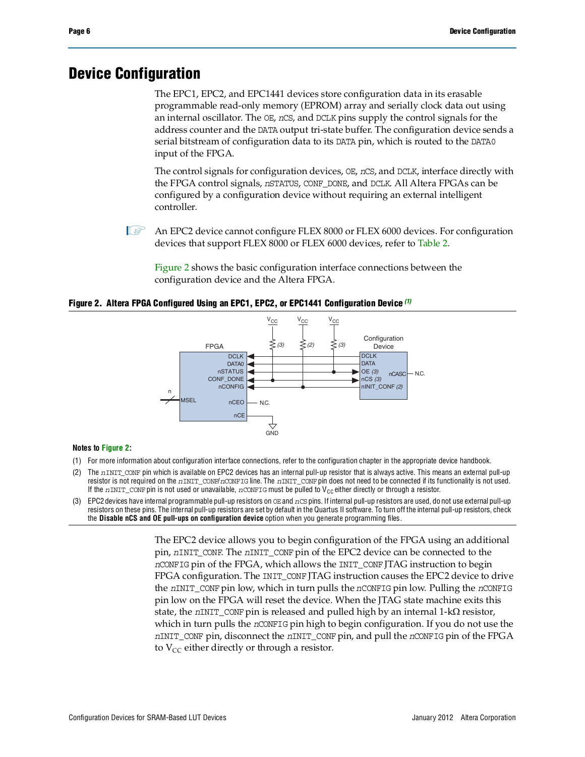## **Device Configuration**

The EPC1, EPC2, and EPC1441 devices store configuration data in its erasable programmable read-only memory (EPROM) array and serially clock data out using an internal oscillator. The OE, *n*CS, and DCLK pins supply the control signals for the address counter and the DATA output tri-state buffer. The configuration device sends a serial bitstream of configuration data to its DATA pin, which is routed to the DATA0 input of the FPGA.

The control signals for configuration devices, OE, *n*CS, and DCLK, interface directly with the FPGA control signals, *n*STATUS, CONF\_DONE, and DCLK. All Altera FPGAs can be configured by a configuration device without requiring an external intelligent controller.

**1 An EPC2 device cannot configure FLEX 8000 or FLEX 6000 devices. For configuration** devices that support FLEX 8000 or FLEX 6000 devices, refer to [Table 2](#page-1-0).

[Figure 2](#page-5-0) shows the basic configuration interface connections between the configuration device and the Altera FPGA.

<span id="page-5-0"></span>**Figure 2. Altera FPGA Configured Using an EPC1, EPC2, or EPC1441 Configuration Device** *[\(1\)](#page-5-1)*



#### **Notes to [Figure 2:](#page-5-0)**

- <span id="page-5-1"></span>(1) For more information about configuration interface connections, refer to the configuration chapter in the appropriate device handbook.
- (2) The *n*INIT\_CONF pin which is available on EPC2 devices has an internal pull-up resistor that is always active. This means an external pull-up resistor is not required on the *n*INIT\_CONF/*n*CONFIG line. The *n*INIT\_CONF pin does not need to be connected if its functionality is not used. If the *n*INIT\_CONF pin is not used or unavailable, *n*CONFIG must be pulled to V<sub>CC</sub> either directly or through a resistor.
- (3) EPC2 devices have internal programmable pull-up resistors on OE and *n*CS pins. If internal pull-up resistors are used, do not use external pull-up resistors on these pins. The internal pull-up resistors are set by default in the Quartus II software. To turn off the internal pull-up resistors, check the **Disable nCS and OE pull-ups on configuration device** option when you generate programming files.

The EPC2 device allows you to begin configuration of the FPGA using an additional pin, *n*INIT\_CONF. The *n*INIT\_CONF pin of the EPC2 device can be connected to the *n*CONFIG pin of the FPGA, which allows the INIT\_CONF JTAG instruction to begin FPGA configuration. The INIT\_CONF JTAG instruction causes the EPC2 device to drive the *n*INIT\_CONF pin low, which in turn pulls the *n*CONFIG pin low. Pulling the *n*CONFIG pin low on the FPGA will reset the device. When the JTAG state machine exits this state, the  $nINT\_CONF$  pin is released and pulled high by an internal  $1-k\Omega$  resistor, which in turn pulls the *n*CONFIG pin high to begin configuration. If you do not use the *n*INIT\_CONF pin, disconnect the *n*INIT\_CONF pin, and pull the *n*CONFIG pin of the FPGA to  $V_{CC}$  either directly or through a resistor.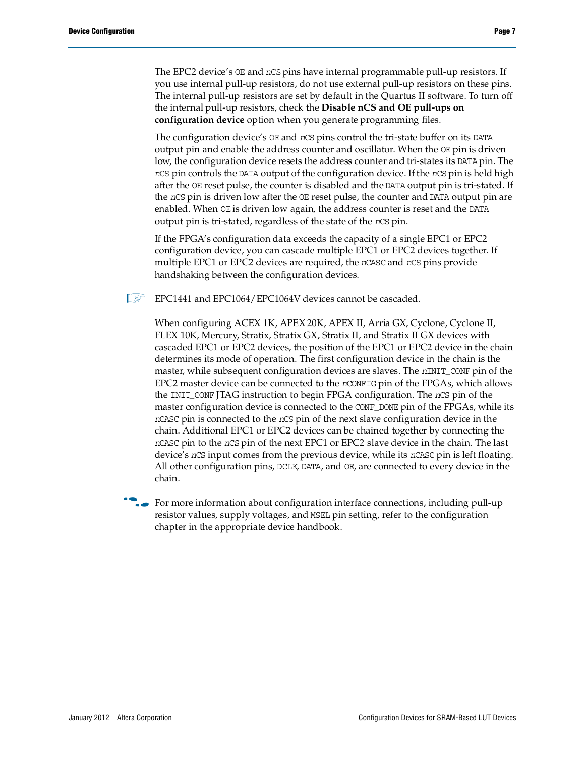The EPC2 device's OE and *n*CS pins have internal programmable pull-up resistors. If you use internal pull-up resistors, do not use external pull-up resistors on these pins. The internal pull-up resistors are set by default in the Quartus II software. To turn off the internal pull-up resistors, check the **Disable nCS and OE pull-ups on configuration device** option when you generate programming files.

The configuration device's OE and *n*CS pins control the tri-state buffer on its DATA output pin and enable the address counter and oscillator. When the OE pin is driven low, the configuration device resets the address counter and tri-states its DATA pin. The *n*CS pin controls the DATA output of the configuration device. If the *n*CS pin is held high after the OE reset pulse, the counter is disabled and the DATA output pin is tri-stated. If the *n*CS pin is driven low after the OE reset pulse, the counter and DATA output pin are enabled. When OE is driven low again, the address counter is reset and the DATA output pin is tri-stated, regardless of the state of the *n*CS pin.

If the FPGA's configuration data exceeds the capacity of a single EPC1 or EPC2 configuration device, you can cascade multiple EPC1 or EPC2 devices together. If multiple EPC1 or EPC2 devices are required, the *n*CASC and *n*CS pins provide handshaking between the configuration devices.

**IS EPC1441 and EPC1064/EPC1064V devices cannot be cascaded.** 

When configuring ACEX 1K, APEX 20K, APEX II, Arria GX, Cyclone, Cyclone II, FLEX 10K, Mercury, Stratix, Stratix GX, Stratix II, and Stratix II GX devices with cascaded EPC1 or EPC2 devices, the position of the EPC1 or EPC2 device in the chain determines its mode of operation. The first configuration device in the chain is the master, while subsequent configuration devices are slaves. The *n*INIT\_CONF pin of the EPC2 master device can be connected to the *n*CONFIG pin of the FPGAs, which allows the INIT\_CONF JTAG instruction to begin FPGA configuration. The *n*CS pin of the master configuration device is connected to the CONF\_DONE pin of the FPGAs, while its *n*CASC pin is connected to the *n*CS pin of the next slave configuration device in the chain. Additional EPC1 or EPC2 devices can be chained together by connecting the *n*CASC pin to the *n*CS pin of the next EPC1 or EPC2 slave device in the chain. The last device's *n*CS input comes from the previous device, while its *n*CASC pin is left floating. All other configuration pins, DCLK, DATA, and OE, are connected to every device in the chain.

For more information about configuration interface connections, including pull-up resistor values, supply voltages, and MSEL pin setting, refer to the configuration chapter in the appropriate device handbook.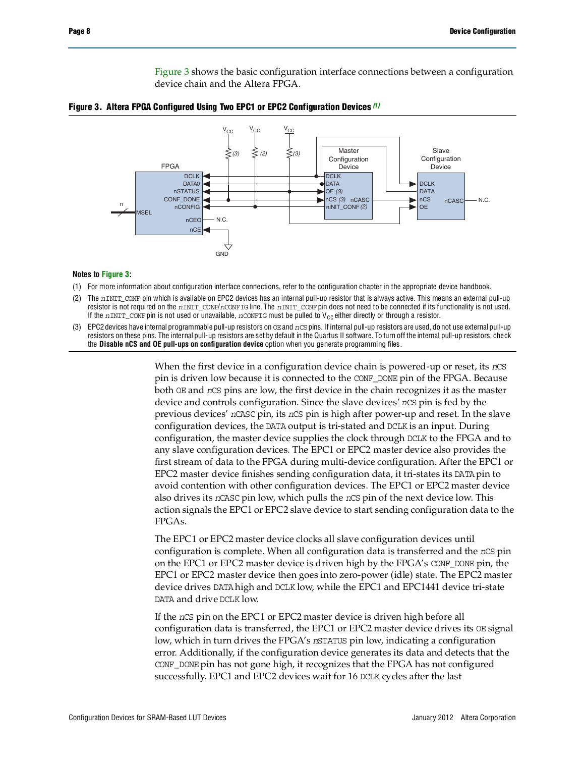[Figure 3](#page-7-0) shows the basic configuration interface connections between a configuration device chain and the Altera FPGA.



<span id="page-7-0"></span>

#### **Notes to [Figure 3:](#page-7-0)**

- <span id="page-7-1"></span>(1) For more information about configuration interface connections, refer to the configuration chapter in the appropriate device handbook.
- (2) The *n*INIT\_CONF pin which is available on EPC2 devices has an internal pull-up resistor that is always active. This means an external pull-up resistor is not required on the *n*INIT\_CONF/*n*CONFIG line. The *n*INIT\_CONF pin does not need to be connected if its functionality is not used. If the  $nINT\_COMP$  pin is not used or unavailable,  $nCONFIG$  must be pulled to V<sub>CC</sub> either directly or through a resistor.
- (3) EPC2 devices have internal programmable pull-up resistors on OE and *n*CS pins. If internal pull-up resistors are used, do not use external pull-up resistors on these pins. The internal pull-up resistors are set by default in the Quartus II software. To turn off the internal pull-up resistors, check the **Disable nCS and OE pull-ups on configuration device** option when you generate programming files.

When the first device in a configuration device chain is powered-up or reset, its *n*CS pin is driven low because it is connected to the CONF\_DONE pin of the FPGA. Because both OE and *n*CS pins are low, the first device in the chain recognizes it as the master device and controls configuration. Since the slave devices' *n*CS pin is fed by the previous devices' *n*CASC pin, its *n*CS pin is high after power-up and reset. In the slave configuration devices, the DATA output is tri-stated and DCLK is an input. During configuration, the master device supplies the clock through DCLK to the FPGA and to any slave configuration devices. The EPC1 or EPC2 master device also provides the first stream of data to the FPGA during multi-device configuration. After the EPC1 or EPC2 master device finishes sending configuration data, it tri-states its DATA pin to avoid contention with other configuration devices. The EPC1 or EPC2 master device also drives its *n*CASC pin low, which pulls the *n*CS pin of the next device low. This action signals the EPC1 or EPC2 slave device to start sending configuration data to the FPGAs.

The EPC1 or EPC2 master device clocks all slave configuration devices until configuration is complete. When all configuration data is transferred and the *n*CS pin on the EPC1 or EPC2 master device is driven high by the FPGA's CONF\_DONE pin, the EPC1 or EPC2 master device then goes into zero-power (idle) state. The EPC2 master device drives DATA high and DCLK low, while the EPC1 and EPC1441 device tri-state DATA and drive DCLK low.

If the *n*CS pin on the EPC1 or EPC2 master device is driven high before all configuration data is transferred, the EPC1 or EPC2 master device drives its OE signal low, which in turn drives the FPGA's *n*STATUS pin low, indicating a configuration error. Additionally, if the configuration device generates its data and detects that the CONF\_DONE pin has not gone high, it recognizes that the FPGA has not configured successfully. EPC1 and EPC2 devices wait for 16 DCLK cycles after the last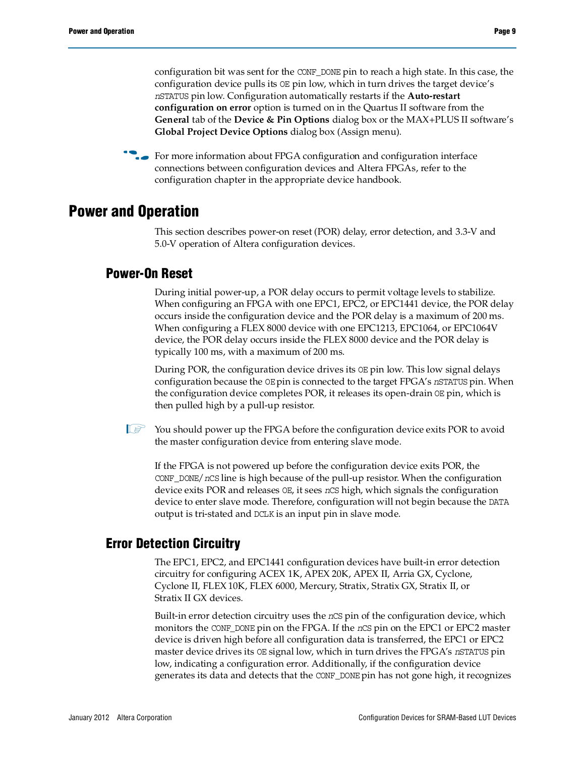configuration bit was sent for the CONF\_DONE pin to reach a high state. In this case, the configuration device pulls its OE pin low, which in turn drives the target device's *n*STATUS pin low. Configuration automatically restarts if the **Auto-restart configuration on error** option is turned on in the Quartus II software from the **General** tab of the **Device & Pin Options** dialog box or the MAX+PLUS II software's **Global Project Device Options** dialog box (Assign menu).

**For more information about FPGA configuration and configuration interface** connections between configuration devices and Altera FPGAs, refer to the configuration chapter in the appropriate device handbook.

## **Power and Operation**

This section describes power-on reset (POR) delay, error detection, and 3.3-V and 5.0-V operation of Altera configuration devices.

## **Power-On Reset**

During initial power-up, a POR delay occurs to permit voltage levels to stabilize. When configuring an FPGA with one EPC1, EPC2, or EPC1441 device, the POR delay occurs inside the configuration device and the POR delay is a maximum of 200 ms. When configuring a FLEX 8000 device with one EPC1213, EPC1064, or EPC1064V device, the POR delay occurs inside the FLEX 8000 device and the POR delay is typically 100 ms, with a maximum of 200 ms.

During POR, the configuration device drives its OE pin low. This low signal delays configuration because the OE pin is connected to the target FPGA's *n*STATUS pin. When the configuration device completes POR, it releases its open-drain OE pin, which is then pulled high by a pull-up resistor.

 $\mathbb{I}$  You should power up the FPGA before the configuration device exits POR to avoid the master configuration device from entering slave mode.

If the FPGA is not powered up before the configuration device exits POR, the CONF\_DONE/*n*CS line is high because of the pull-up resistor. When the configuration device exits POR and releases OE, it sees *n*CS high, which signals the configuration device to enter slave mode. Therefore, configuration will not begin because the DATA output is tri-stated and DCLK is an input pin in slave mode.

## <span id="page-8-0"></span>**Error Detection Circuitry**

The EPC1, EPC2, and EPC1441 configuration devices have built-in error detection circuitry for configuring ACEX 1K, APEX 20K, APEX II, Arria GX, Cyclone, Cyclone II, FLEX 10K, FLEX 6000, Mercury, Stratix, Stratix GX, Stratix II, or Stratix II GX devices.

Built-in error detection circuitry uses the *n*CS pin of the configuration device, which monitors the CONF\_DONE pin on the FPGA. If the *n*CS pin on the EPC1 or EPC2 master device is driven high before all configuration data is transferred, the EPC1 or EPC2 master device drives its OE signal low, which in turn drives the FPGA's *n*STATUS pin low, indicating a configuration error. Additionally, if the configuration device generates its data and detects that the CONF\_DONE pin has not gone high, it recognizes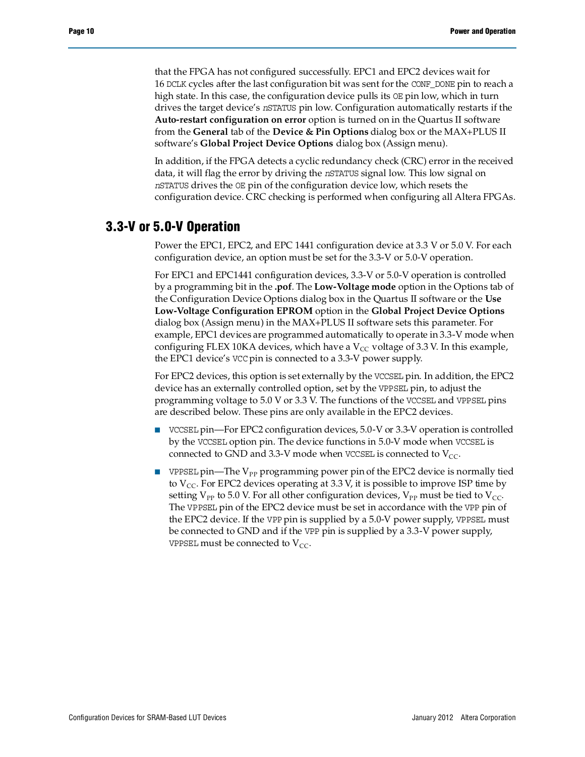that the FPGA has not configured successfully. EPC1 and EPC2 devices wait for 16 DCLK cycles after the last configuration bit was sent for the CONF\_DONE pin to reach a high state. In this case, the configuration device pulls its  $OE$  pin low, which in turn drives the target device's *n*STATUS pin low. Configuration automatically restarts if the **Auto-restart configuration on error** option is turned on in the Quartus II software from the **General** tab of the **Device & Pin Options** dialog box or the MAX+PLUS II software's **Global Project Device Options** dialog box (Assign menu).

In addition, if the FPGA detects a cyclic redundancy check (CRC) error in the received data, it will flag the error by driving the *n*STATUS signal low. This low signal on *n*STATUS drives the OE pin of the configuration device low, which resets the configuration device. CRC checking is performed when configuring all Altera FPGAs.

## **3.3-V or 5.0-V Operation**

Power the EPC1, EPC2, and EPC 1441 configuration device at 3.3 V or 5.0 V. For each configuration device, an option must be set for the 3.3-V or 5.0-V operation.

For EPC1 and EPC1441 configuration devices, 3.3-V or 5.0-V operation is controlled by a programming bit in the **.pof**. The **Low-Voltage mode** option in the Options tab of the Configuration Device Options dialog box in the Quartus II software or the **Use Low-Voltage Configuration EPROM** option in the **Global Project Device Options** dialog box (Assign menu) in the MAX+PLUS II software sets this parameter. For example, EPC1 devices are programmed automatically to operate in 3.3-V mode when configuring FLEX 10KA devices, which have a  $V_{CC}$  voltage of 3.3 V. In this example, the EPC1 device's VCC pin is connected to a 3.3-V power supply.

For EPC2 devices, this option is set externally by the VCCSEL pin. In addition, the EPC2 device has an externally controlled option, set by the VPPSEL pin, to adjust the programming voltage to 5.0 V or 3.3 V. The functions of the VCCSEL and VPPSEL pins are described below. These pins are only available in the EPC2 devices.

- VCCSEL pin—For EPC2 configuration devices, 5.0-V or 3.3-V operation is controlled by the VCCSEL option pin. The device functions in 5.0-V mode when VCCSEL is connected to GND and 3.3-V mode when VCCSEL is connected to  $V_{CC}$ .
- **■** VPPSEL pin—The  $V_{PP}$  programming power pin of the EPC2 device is normally tied to  $V_{CC}$ . For EPC2 devices operating at 3.3 V, it is possible to improve ISP time by setting  $V_{PP}$  to 5.0 V. For all other configuration devices,  $V_{PP}$  must be tied to  $V_{CC}$ . The VPPSEL pin of the EPC2 device must be set in accordance with the VPP pin of the EPC2 device. If the VPP pin is supplied by a 5.0-V power supply, VPPSEL must be connected to GND and if the VPP pin is supplied by a 3.3-V power supply, VPPSEL must be connected to  $V_{CC}$ .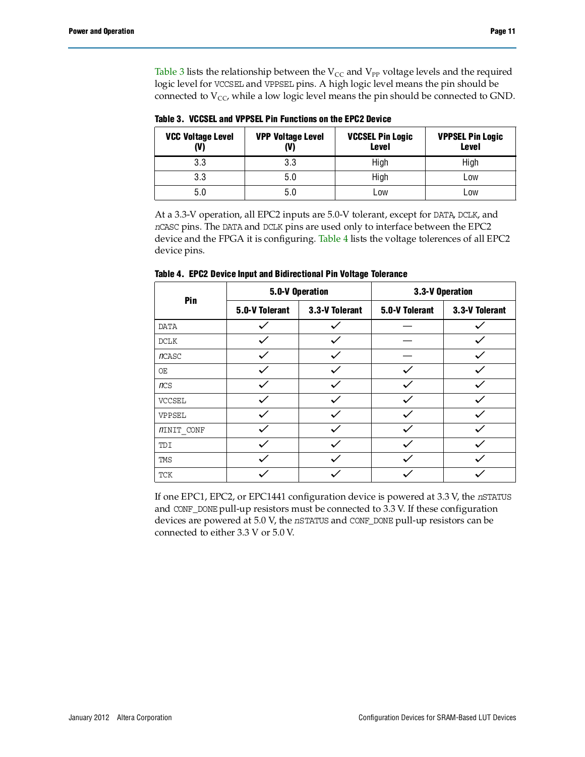[Table 3](#page-10-1) lists the relationship between the  $V_{CC}$  and  $V_{PP}$  voltage levels and the required logic level for VCCSEL and VPPSEL pins. A high logic level means the pin should be connected to  $V_{CC}$ , while a low logic level means the pin should be connected to GND.

| <b>VCC Voltage Level</b><br>(V) | <b>VPP Voltage Level</b><br>(V) |      | <b>VPPSEL Pin Logic</b><br><b>Level</b> |
|---------------------------------|---------------------------------|------|-----------------------------------------|
| 3.3                             | 3.3                             | High | High                                    |
| 3.3                             | 5.0                             | High | Low                                     |
| 5.0                             | 5.0                             | Low  | Low                                     |

<span id="page-10-1"></span>**Table 3. VCCSEL and VPPSEL Pin Functions on the EPC2 Device**

At a 3.3-V operation, all EPC2 inputs are 5.0-V tolerant, except for DATA, DCLK, and *n*CASC pins. The DATA and DCLK pins are used only to interface between the EPC2 device and the FPGA it is configuring. [Table 4](#page-10-0) lists the voltage tolerences of all EPC2 device pins.

| Pin               |                | 5.0-V Operation | 3.3-V Operation |                |  |
|-------------------|----------------|-----------------|-----------------|----------------|--|
|                   | 5.0-V Tolerant | 3.3-V Tolerant  | 5.0-V Tolerant  | 3.3-V Tolerant |  |
| <b>DATA</b>       |                |                 |                 |                |  |
| DCLK              |                |                 |                 |                |  |
| <b>n</b> CASC     |                |                 |                 |                |  |
| OE                |                |                 |                 |                |  |
| ncs               |                |                 |                 |                |  |
| <b>VCCSEL</b>     |                |                 |                 |                |  |
| VPPSEL            |                |                 |                 |                |  |
| <i>NINIT</i> CONF |                |                 |                 |                |  |
| TDI               |                |                 |                 |                |  |
| TMS               |                |                 |                 |                |  |
| <b>TCK</b>        |                |                 |                 |                |  |

<span id="page-10-0"></span>**Table 4. EPC2 Device Input and Bidirectional Pin Voltage Tolerance**

If one EPC1, EPC2, or EPC1441 configuration device is powered at 3.3 V, the *n*STATUS and CONF\_DONE pull-up resistors must be connected to 3.3 V. If these configuration devices are powered at 5.0 V, the *n*STATUS and CONF\_DONE pull-up resistors can be connected to either 3.3 V or 5.0 V.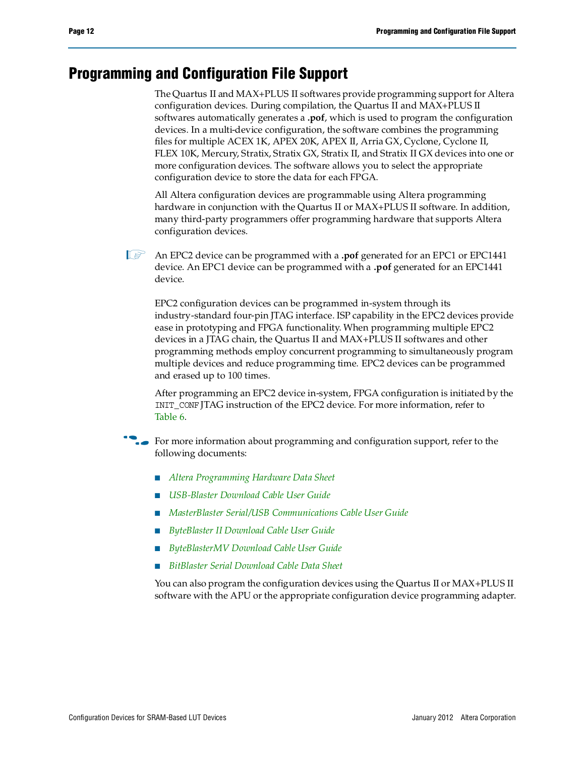# **Programming and Configuration File Support**

The Quartus II and MAX+PLUS II softwares provide programming support for Altera configuration devices. During compilation, the Quartus II and MAX+PLUS II softwares automatically generates a **.pof**, which is used to program the configuration devices. In a multi-device configuration, the software combines the programming files for multiple ACEX 1K, APEX 20K, APEX II, Arria GX, Cyclone, Cyclone II, FLEX 10K, Mercury, Stratix, Stratix GX, Stratix II, and Stratix II GX devices into one or more configuration devices. The software allows you to select the appropriate configuration device to store the data for each FPGA.

All Altera configuration devices are programmable using Altera programming hardware in conjunction with the Quartus II or MAX+PLUS II software. In addition, many third-party programmers offer programming hardware that supports Altera configuration devices.

1 An EPC2 device can be programmed with a **.pof** generated for an EPC1 or EPC1441 device. An EPC1 device can be programmed with a **.pof** generated for an EPC1441 device.

EPC2 configuration devices can be programmed in-system through its industry-standard four-pin JTAG interface. ISP capability in the EPC2 devices provide ease in prototyping and FPGA functionality. When programming multiple EPC2 devices in a JTAG chain, the Quartus II and MAX+PLUS II softwares and other programming methods employ concurrent programming to simultaneously program multiple devices and reduce programming time. EPC2 devices can be programmed and erased up to 100 times.

After programming an EPC2 device in-system, FPGA configuration is initiated by the INIT\_CONF JTAG instruction of the EPC2 device. For more information, refer to [Table 6](#page-13-0).

**For more information about programming and configuration support, refer to the** following documents:

- *[Altera Programming Hardware Data Sheet](http://www.altera.com/literature/ds/dspghd.pdf)*
- *[USB-Blaster Download Cable User Guide](http://www.altera.com/literature/ug/ug_usb_blstr.pdf?)*
- *[MasterBlaster Serial/USB Communications Cable User Guide](http://www.altera.com/literature/ug/ug_mstr_blstr.pdf?)*
- *[ByteBlaster II Download Cable User Guide](http://www.altera.com/literature/ug/ug_bbii.pdf?)*
- *[ByteBlasterMV Download Cable User Guide](http://www.altera.com/literature/ug/ug_bbmv.pdf?)*
- *[BitBlaster Serial Download Cable Data Sheet](http://www.altera.com/literature/ds/dsbit.pdf?)*

You can also program the configuration devices using the Quartus II or MAX+PLUS II software with the APU or the appropriate configuration device programming adapter.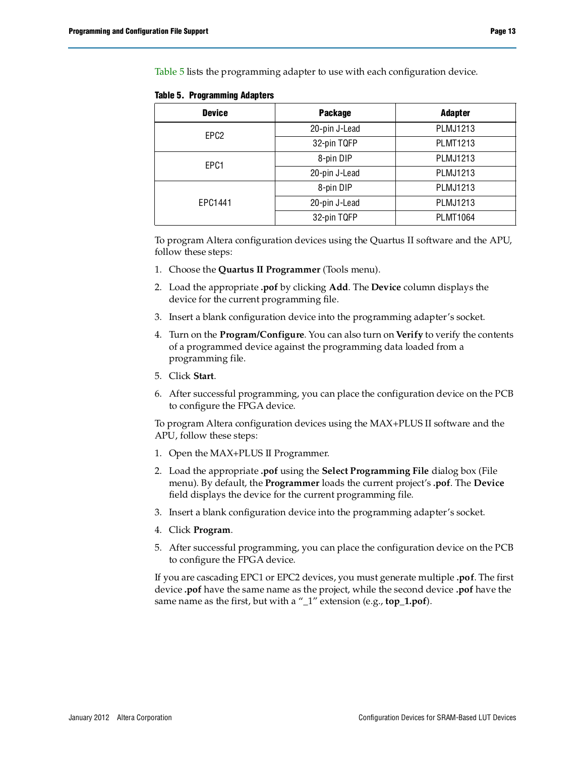[Table 5](#page-12-0) lists the programming adapter to use with each configuration device.

| <b>Device</b>    | <b>Package</b> | <b>Adapter</b>  |
|------------------|----------------|-----------------|
| EPC <sub>2</sub> | 20-pin J-Lead  | <b>PLMJ1213</b> |
|                  | 32-pin TQFP    | <b>PLMT1213</b> |
| EPC1             | 8-pin DIP      | PLMJ1213        |
|                  | 20-pin J-Lead  | PLMJ1213        |
|                  | 8-pin DIP      | PLMJ1213        |
| EPC1441          | 20-pin J-Lead  | PLMJ1213        |
|                  | 32-pin TQFP    | <b>PLMT1064</b> |

<span id="page-12-0"></span>**Table 5. Programming Adapters**

To program Altera configuration devices using the Quartus II software and the APU, follow these steps:

- 1. Choose the **Quartus II Programmer** (Tools menu).
- 2. Load the appropriate **.pof** by clicking **Add**. The **Device** column displays the device for the current programming file.
- 3. Insert a blank configuration device into the programming adapter's socket.
- 4. Turn on the **Program/Configure**. You can also turn on **Verify** to verify the contents of a programmed device against the programming data loaded from a programming file.
- 5. Click **Start**.
- 6. After successful programming, you can place the configuration device on the PCB to configure the FPGA device.

To program Altera configuration devices using the MAX+PLUS II software and the APU, follow these steps:

- 1. Open the MAX+PLUS II Programmer.
- 2. Load the appropriate **.pof** using the **Select Programming File** dialog box (File menu). By default, the **Programmer** loads the current project's **.pof**. The **Device** field displays the device for the current programming file.
- 3. Insert a blank configuration device into the programming adapter's socket.
- 4. Click **Program**.
- 5. After successful programming, you can place the configuration device on the PCB to configure the FPGA device.

If you are cascading EPC1 or EPC2 devices, you must generate multiple **.pof**. The first device **.pof** have the same name as the project, while the second device **.pof** have the same name as the first, but with a "\_1" extension (e.g., **top\_1.pof**).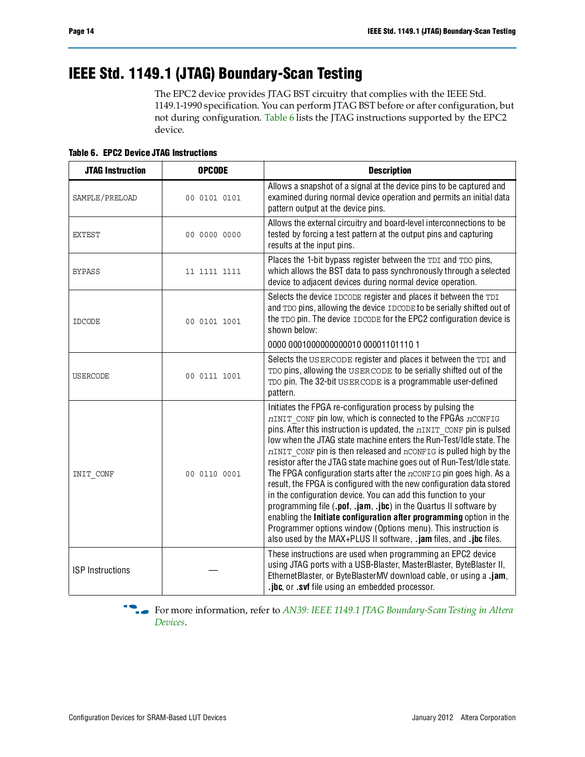# **IEEE Std. 1149.1 (JTAG) Boundary-Scan Testing**

The EPC2 device provides JTAG BST circuitry that complies with the IEEE Std. 1149.1-1990 specification. You can perform JTAG BST before or after configuration, but not during configuration. [Table 6](#page-13-0) lists the JTAG instructions supported by the EPC2 device.

<span id="page-13-0"></span>**Table 6. EPC2 Device JTAG Instructions**

| <b>JTAG Instruction</b> | <b>OPCODE</b> | <b>Description</b>                                                                                                                                                                                                                                                                                                                                                                                                                                                                                                                                                                                                                                                                                                                                                                                                                                                                                                                   |
|-------------------------|---------------|--------------------------------------------------------------------------------------------------------------------------------------------------------------------------------------------------------------------------------------------------------------------------------------------------------------------------------------------------------------------------------------------------------------------------------------------------------------------------------------------------------------------------------------------------------------------------------------------------------------------------------------------------------------------------------------------------------------------------------------------------------------------------------------------------------------------------------------------------------------------------------------------------------------------------------------|
| SAMPLE/PRELOAD          | 00 0101 0101  | Allows a snapshot of a signal at the device pins to be captured and<br>examined during normal device operation and permits an initial data<br>pattern output at the device pins.                                                                                                                                                                                                                                                                                                                                                                                                                                                                                                                                                                                                                                                                                                                                                     |
| <b>EXTEST</b>           | 00 0000 0000  | Allows the external circuitry and board-level interconnections to be<br>tested by forcing a test pattern at the output pins and capturing<br>results at the input pins.                                                                                                                                                                                                                                                                                                                                                                                                                                                                                                                                                                                                                                                                                                                                                              |
| <b>BYPASS</b>           | 11 1111 1111  | Places the 1-bit bypass register between the TDI and TDO pins,<br>which allows the BST data to pass synchronously through a selected<br>device to adjacent devices during normal device operation.                                                                                                                                                                                                                                                                                                                                                                                                                                                                                                                                                                                                                                                                                                                                   |
| <b>IDCODE</b>           | 00 0101 1001  | Selects the device IDCODE register and places it between the TDI<br>and TDO pins, allowing the device IDCODE to be serially shifted out of<br>the TDO pin. The device IDCODE for the EPC2 configuration device is<br>shown below:                                                                                                                                                                                                                                                                                                                                                                                                                                                                                                                                                                                                                                                                                                    |
|                         |               | 0000 00010000000000010 00001101110 1                                                                                                                                                                                                                                                                                                                                                                                                                                                                                                                                                                                                                                                                                                                                                                                                                                                                                                 |
| <b>USERCODE</b>         | 00 0111 1001  | Selects the USERCODE register and places it between the TDI and<br>TDO pins, allowing the USERCODE to be serially shifted out of the<br>TDO pin. The 32-bit USERCODE is a programmable user-defined<br>pattern.                                                                                                                                                                                                                                                                                                                                                                                                                                                                                                                                                                                                                                                                                                                      |
| INIT CONF               | 00 0110 0001  | Initiates the FPGA re-configuration process by pulsing the<br>nINIT CONF pin low, which is connected to the FPGAs nCONFIG<br>pins. After this instruction is updated, the $nINT$ confinition is pulsed<br>low when the JTAG state machine enters the Run-Test/Idle state. The<br>nINIT CONF pin is then released and nCONFIG is pulled high by the<br>resistor after the JTAG state machine goes out of Run-Test/Idle state.<br>The FPGA configuration starts after the $n$ CONFIG pin goes high. As a<br>result, the FPGA is configured with the new configuration data stored<br>in the configuration device. You can add this function to your<br>programming file (.pof, .jam, .jbc) in the Quartus II software by<br>enabling the Initiate configuration after programming option in the<br>Programmer options window (Options menu). This instruction is<br>also used by the MAX+PLUS II software, .jam files, and .jbc files. |
| <b>ISP</b> Instructions |               | These instructions are used when programming an EPC2 device<br>using JTAG ports with a USB-Blaster, MasterBlaster, ByteBlaster II,<br>EthernetBlaster, or ByteBlasterMV download cable, or using a .jam,<br>.jbc, or .svf file using an embedded processor.                                                                                                                                                                                                                                                                                                                                                                                                                                                                                                                                                                                                                                                                          |

f For more information, refer to *[AN39: IEEE 1149.1 JTAG Boundary-Scan Testing in Altera](http://www.altera.com/literature/an/an039.pdf)  [Devices](http://www.altera.com/literature/an/an039.pdf)*.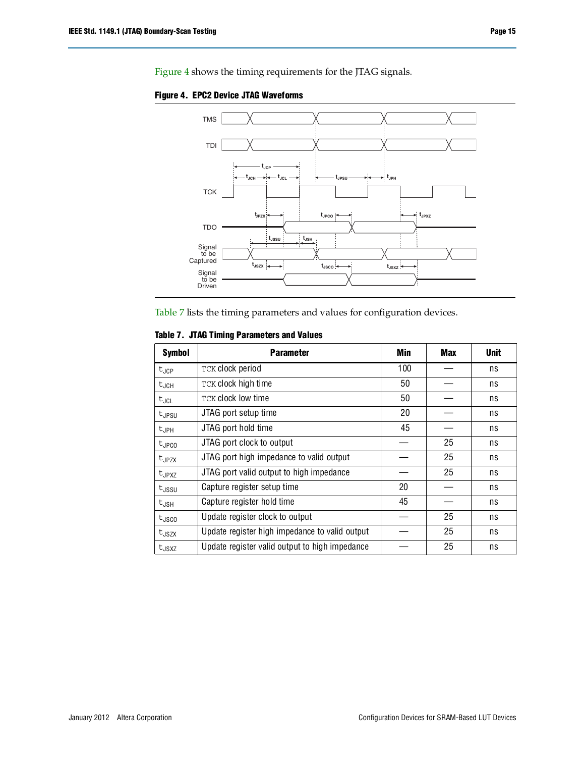

<span id="page-14-0"></span>**Figure 4. EPC2 Device JTAG Waveforms**

[Table 7](#page-14-1) lists the timing parameters and values for configuration devices.

### <span id="page-14-1"></span>**Table 7. JTAG Timing Parameters and Values**

| <b>Symbol</b>     | <b>Parameter</b>                               | Min | <b>Max</b> | <b>Unit</b> |
|-------------------|------------------------------------------------|-----|------------|-------------|
| $t_{JCP}$         | TCK clock period                               | 100 |            | ns          |
| $t_{JCH}$         | TCK clock high time                            | 50  |            | ns          |
| $t_{JCL}$         | <b>TCK clock low time</b>                      | 50  |            | ns          |
| $t_{JPSU}$        | JTAG port setup time                           | 20  |            | ns          |
| $t_{JPH}$         | JTAG port hold time                            | 45  |            | ns          |
| tjpco             | JTAG port clock to output                      |     | 25         | ns          |
| $t_{JPZX}$        | JTAG port high impedance to valid output       |     | 25         | ns          |
| $t_{JPXZ}$        | JTAG port valid output to high impedance       |     | 25         | ns          |
| $t_{\rm JSSU}$    | Capture register setup time                    | 20  |            | ns          |
| $t_{JSH}$         | Capture register hold time                     | 45  |            | ns          |
| $t_{\rm JSC0}$    | Update register clock to output                |     | 25         | ns          |
| t <sub>JSZX</sub> | Update register high impedance to valid output |     | 25         | ns          |
| $t_{JSXZ}$        | Update register valid output to high impedance |     | 25         | ns          |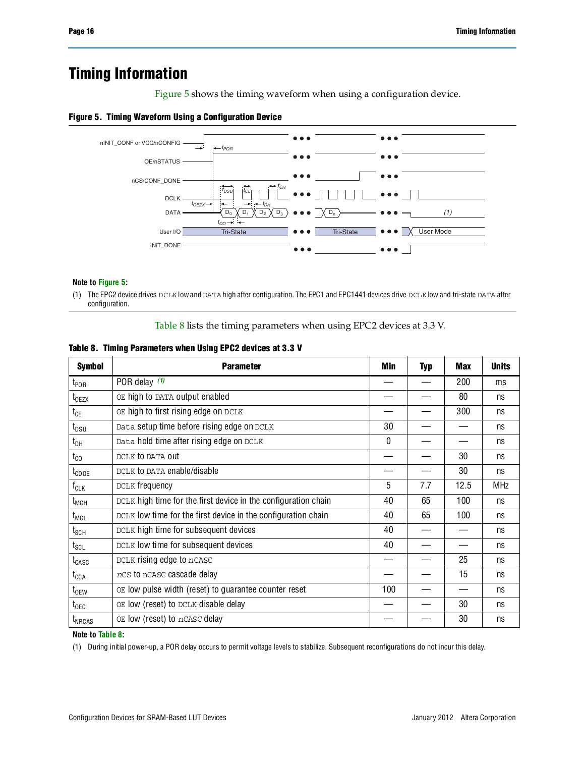# **Timing Information**

[Figure 5](#page-15-0) shows the timing waveform when using a configuration device.

### <span id="page-15-0"></span>**Figure 5. Timing Waveform Using a Configuration Device**



#### **Note to [Figure 5:](#page-15-0)**

(1) The EPC2 device drives DCLK low and DATA high after configuration. The EPC1 and EPC1441 devices drive DCLK low and tri-state DATA after configuration.

[Table 8](#page-15-1) lists the timing parameters when using EPC2 devices at 3.3 V.

<span id="page-15-1"></span>

|  |  |  |  |  | Table 8. Timing Parameters when Using EPC2 devices at 3.3 V |  |
|--|--|--|--|--|-------------------------------------------------------------|--|
|--|--|--|--|--|-------------------------------------------------------------|--|

| <b>Symbol</b>                | <b>Parameter</b>                                               | Min | <b>Typ</b> | <b>Max</b> | <b>Units</b> |
|------------------------------|----------------------------------------------------------------|-----|------------|------------|--------------|
| $t_{\mathsf{POR}}$           | POR delay $(1)$                                                |     |            | 200        | ms           |
| $t_{0EZX}$                   | OE high to DATA output enabled                                 |     |            | 80         | ns           |
| $t_{CE}$                     | OE high to first rising edge on DCLK                           |     |            | 300        | ns           |
| $t_{DSU}$                    | Data setup time before rising edge on DCLK                     | 30  |            |            | ns           |
| $t_{DH}$                     | Data hold time after rising edge on DCLK                       | 0   |            |            | ns           |
| $t_{\rm CO}$                 | DCLK to DATA out                                               |     |            | 30         | ns           |
| t <sub>CDOE</sub>            | DCLK to DATA enable/disable                                    |     |            | 30         | ns           |
| $f_{CLK}$                    | DCLK frequency                                                 | 5   | 7.7        | 12.5       | <b>MHz</b>   |
| $t_{MCH}$                    | DCLK high time for the first device in the configuration chain | 40  | 65         | 100        | ns           |
| $t_{MCL}$                    | DCLK low time for the first device in the configuration chain  | 40  | 65         | 100        | ns           |
| $t_{\scriptstyle\rm SCH}$    | DCLK high time for subsequent devices                          | 40  |            |            | ns           |
| $t_{\scriptstyle\text{SCL}}$ | DCLK low time for subsequent devices                           | 40  |            |            | ns           |
| $t_{CASC}$                   | DCLK rising edge to nCASC                                      |     |            | 25         | ns           |
| $t_{\texttt{CCA}}$           | nCS to nCASC cascade delay                                     |     |            | 15         | ns           |
| $t_{0EW}$                    | OE low pulse width (reset) to guarantee counter reset          | 100 |            |            | ns           |
| $t_{\text{OEC}}$             | OE low (reset) to DCLK disable delay                           |     |            | 30         | ns           |
| $t_{NRCAS}$                  | OE low (reset) to nCASC delay                                  |     |            | 30         | ns           |

### **Note to [Table](#page-15-1) 8:**

<span id="page-15-2"></span>(1) During initial power-up, a POR delay occurs to permit voltage levels to stabilize. Subsequent reconfigurations do not incur this delay.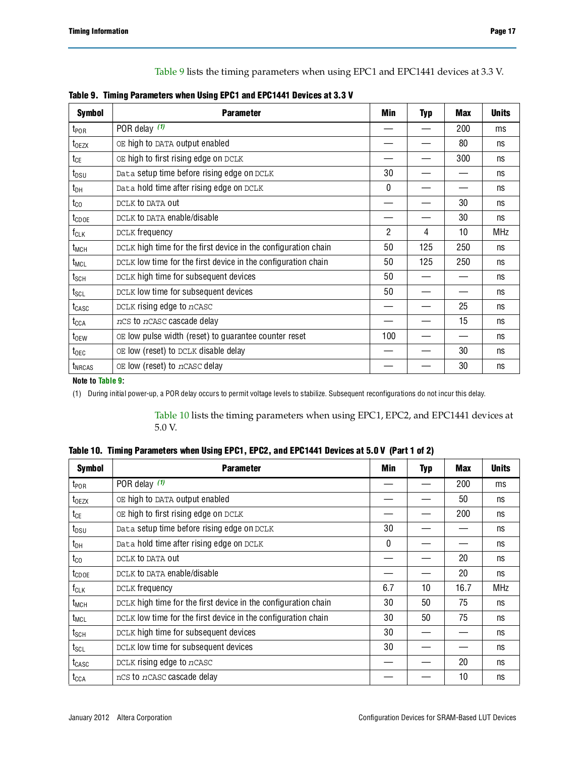[Table 9](#page-16-0) lists the timing parameters when using EPC1 and EPC1441 devices at 3.3 V.

<span id="page-16-0"></span>

|  | Table 9. Timing Parameters when Using EPC1 and EPC1441 Devices at 3.3 V |  |  |  |
|--|-------------------------------------------------------------------------|--|--|--|
|  |                                                                         |  |  |  |

| <b>Symbol</b>                | <b>Parameter</b>                                               | Min | <b>Typ</b> | <b>Max</b> | <b>Units</b> |
|------------------------------|----------------------------------------------------------------|-----|------------|------------|--------------|
| $t_{\mathsf{POR}}$           | POR delay $(1)$                                                |     |            | 200        | ms           |
| $t_{0EZX}$                   | OE high to DATA output enabled                                 |     |            | 80         | ns           |
| $t_{CE}$                     | OE high to first rising edge on DCLK                           |     |            | 300        | ns           |
| $t_{DSU}$                    | Data setup time before rising edge on DCLK                     | 30  |            |            | ns           |
| $t_{DH}$                     | Data hold time after rising edge on DCLK                       | 0   |            |            | ns           |
| $t_{\rm CO}$                 | DCLK to DATA out                                               |     |            | 30         | ns           |
| $t_{\text{CDOE}}$            | DCLK to DATA enable/disable                                    |     |            | 30         | ns           |
| $f_{CLK}$                    | DCLK frequency                                                 | 2   | 4          | 10         | <b>MHz</b>   |
| t <sub>MCH</sub>             | DCLK high time for the first device in the configuration chain | 50  | 125        | 250        | ns           |
| t <sub>MCL</sub>             | DCLK low time for the first device in the configuration chain  | 50  | 125        | 250        | ns           |
| $t_{\scriptstyle\text{SCH}}$ | DCLK high time for subsequent devices                          | 50  |            |            | ns           |
| $t_{\texttt{SCL}}$           | DCLK low time for subsequent devices                           | 50  |            |            | ns           |
| t <sub>CASC</sub>            | DCLK rising edge to nCASC                                      |     |            | 25         | ns           |
| $t_{\text{CCA}}$             | nCS to nCASC cascade delay                                     |     |            | 15         | ns           |
| $t_{0EW}$                    | OE low pulse width (reset) to guarantee counter reset          | 100 |            |            | ns           |
| $t_{\text{OEC}}$             | OE low (reset) to DCLK disable delay                           |     |            | 30         | ns           |
| t <sub>NRCAS</sub>           | OE low (reset) to nCASC delay                                  |     |            | 30         | ns           |

#### **Note to [Table 9](#page-16-0):**

<span id="page-16-1"></span>(1) During initial power-up, a POR delay occurs to permit voltage levels to stabilize. Subsequent reconfigurations do not incur this delay.

[Table 10](#page-16-2) lists the timing parameters when using EPC1, EPC2, and EPC1441 devices at 5.0 V.

| <b>Symbol</b>                | <b>Parameter</b>                                               | Min | <b>Typ</b>       | <b>Max</b> | <b>Units</b> |
|------------------------------|----------------------------------------------------------------|-----|------------------|------------|--------------|
| $t_{\text{POR}}$             | POR delay $(1)$                                                |     |                  | 200        | ms           |
| $t_{0EZX}$                   | OE high to DATA output enabled                                 |     |                  | 50         | ns           |
| $t_{CE}$                     | OE high to first rising edge on DCLK                           |     |                  | 200        | ns           |
| $t_{DSU}$                    | Data setup time before rising edge on DCLK                     | 30  |                  |            | ns           |
| $t_{DH}$                     | Data hold time after rising edge on DCLK                       | 0   |                  |            | ns           |
| $t_{\rm CO}$                 | DCLK to DATA out                                               |     |                  | 20         | ns           |
| $t_{\text{CDOE}}$            | DCLK to DATA enable/disable                                    |     |                  | 20         | ns           |
| $f_{CLK}$                    | DCLK frequency                                                 | 6.7 | 10 <sup>10</sup> | 16.7       | <b>MHz</b>   |
| $t_{MCH}$                    | DCLK high time for the first device in the configuration chain | 30  | 50               | 75         | ns           |
| t <sub>MCL</sub>             | DCLK low time for the first device in the configuration chain  | 30  | 50               | 75         | ns           |
| $t_{\scriptstyle\text{SCH}}$ | DCLK high time for subsequent devices                          | 30  |                  |            | ns           |
| $t_{\scriptstyle\text{SCL}}$ | DCLK low time for subsequent devices                           | 30  |                  |            | ns           |
| t <sub>CASC</sub>            | DCLK rising edge to nCASC                                      |     |                  | 20         | ns           |
| $t_{\text{CCA}}$             | nCS to nCASC cascade delay                                     |     |                  | 10         | ns           |

<span id="page-16-2"></span>

|  |  | Table 10. Timing Parameters when Using EPC1, EPC2, and EPC1441 Devices at 5.0 V (Part 1 of 2) |  |  |
|--|--|-----------------------------------------------------------------------------------------------|--|--|
|--|--|-----------------------------------------------------------------------------------------------|--|--|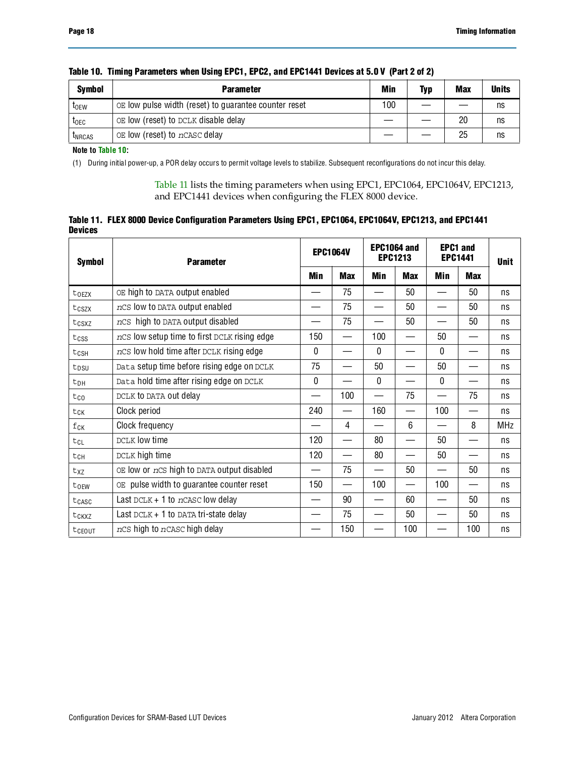| <b>Symbol</b>           | <b>Parameter</b>                                      |     | <b>Typ</b> | Max | <b>Units</b> |
|-------------------------|-------------------------------------------------------|-----|------------|-----|--------------|
| <b>t</b> <sub>OEW</sub> | OE low pulse width (reset) to guarantee counter reset | 100 |            |     | ns           |
| t <sub>oec</sub>        | OE low (reset) to DCLK disable delay                  |     |            | 20  | ns           |
| <b>LNRCAS</b>           | OE low (reset) to nCASC delay                         |     |            | 25  | ns           |

### **Table 10. Timing Parameters when Using EPC1, EPC2, and EPC1441 Devices at 5.0 V (Part 2 of 2)**

**Note to [Table 10](#page-16-2):**

<span id="page-17-0"></span>(1) During initial power-up, a POR delay occurs to permit voltage levels to stabilize. Subsequent reconfigurations do not incur this delay.

[Table 11](#page-17-1) lists the timing parameters when using EPC1, EPC1064, EPC1064V, EPC1213, and EPC1441 devices when configuring the FLEX 8000 device.

<span id="page-17-1"></span>

|                | Table 11. FLEX 8000 Device Configuration Parameters Using EPC1, EPC1064, EPC1064V, EPC1213, and EPC1441 |  |  |
|----------------|---------------------------------------------------------------------------------------------------------|--|--|
| <b>Devices</b> |                                                                                                         |  |  |

| <b>Symbol</b>      | <b>Parameter</b>                             |              | <b>EPC1064V</b> |              | EPC1064 and<br><b>EPC1213</b> |              | <b>EPC1 and</b><br><b>EPC1441</b> |            |
|--------------------|----------------------------------------------|--------------|-----------------|--------------|-------------------------------|--------------|-----------------------------------|------------|
|                    |                                              |              | <b>Max</b>      | Min          | <b>Max</b>                    | Min          | Max                               |            |
| toezx              | OE high to DATA output enabled               |              | 75              |              | 50                            |              | 50                                | ns         |
| tcszx              | ncs low to DATA output enabled               |              | 75              |              | 50                            |              | 50                                | ns         |
| tcsxz              | nCS high to DATA output disabled             |              | 75              |              | 50                            |              | 50                                | ns         |
| $t$ <sub>CSS</sub> | nCS low setup time to first DCLK rising edge | 150          | —               | 100          | —                             | 50           |                                   | ns         |
| t <sub>csH</sub>   | nCS low hold time after DCLK rising edge     | $\mathbf{0}$ |                 | $\mathbf{0}$ |                               | 0            |                                   | ns         |
| t <sub>DSU</sub>   | Data setup time before rising edge on DCLK   | 75           |                 | 50           |                               | 50           |                                   | ns         |
| t <sub>DH</sub>    | Data hold time after rising edge on DCLK     | $\mathbf 0$  |                 | $\mathbf 0$  |                               | $\mathbf 0$  |                                   | ns         |
| tco                | DCLK to DATA out delay                       |              | 100             |              | 75                            |              | 75                                | ns         |
| tck                | Clock period                                 | 240          |                 | 160          |                               | 100          |                                   | ns         |
| $f_{CK}$           | Clock frequency                              |              | 4               |              | 6                             |              | 8                                 | <b>MHz</b> |
| tcl                | DCLK low time                                | 120          |                 | 80           |                               | $50^{\circ}$ |                                   | ns         |
| tch                | DCLK high time                               | 120          |                 | 80           |                               | 50           |                                   | ns         |
| txz                | OE low or nCS high to DATA output disabled   |              | 75              |              | 50                            |              | 50                                | ns         |
| torw               | OE pulse width to guarantee counter reset    | 150          |                 | 100          |                               | 100          |                                   | ns         |
| tcasc              | Last $DCLK + 1$ to nCASC low delay           |              | 90              |              | 60                            |              | 50                                | ns         |
| tckxz              | Last $DCLK + 1$ to DATA tri-state delay      |              | 75              |              | 50                            |              | 50                                | ns         |
| tcEOUT             | ncs high to ncasc high delay                 |              | 150             |              | 100                           |              | 100                               | ns         |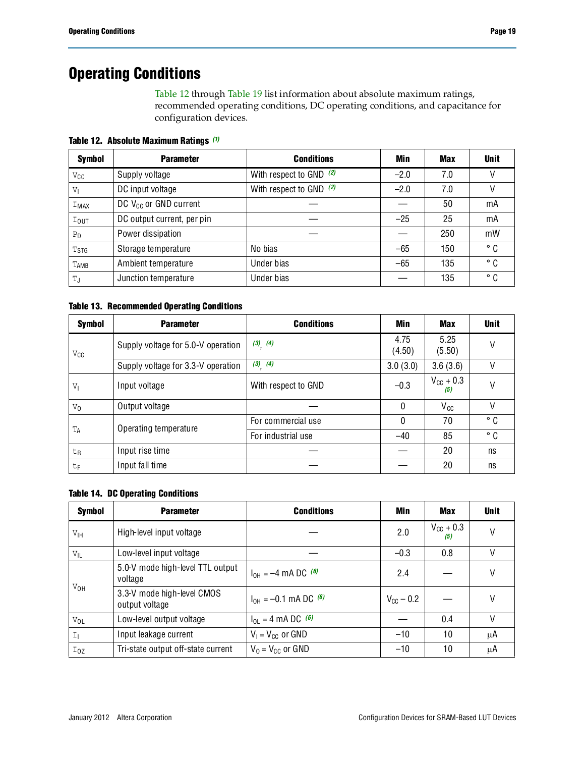# **Operating Conditions**

[Table 12](#page-18-0) through [Table 19](#page-19-0) list information about absolute maximum ratings, recommended operating conditions, DC operating conditions, and capacitance for configuration devices.

<span id="page-18-0"></span>**Table 12. Absolute Maximum Ratings** *[\(1\)](#page-19-1)*

| <b>Symbol</b>     | <b>Parameter</b>           | <b>Conditions</b>         | Min    | <b>Max</b> | <b>Unit</b> |
|-------------------|----------------------------|---------------------------|--------|------------|-------------|
| $V_{\mathsf{CC}}$ | Supply voltage             | With respect to GND (2)   | $-2.0$ | 7.0        |             |
| V <sub>1</sub>    | DC input voltage           | With respect to GND $(2)$ | $-2.0$ | 7.0        |             |
| IMAX              | DC $V_{CC}$ or GND current |                           |        | 50         | mA          |
| $I_{\text{OUT}}$  | DC output current, per pin |                           | $-25$  | 25         | mA          |
| $P_D$             | Power dissipation          |                           |        | 250        | mW          |
| T <sub>STG</sub>  | Storage temperature        | No bias                   | $-65$  | 150        | ° C         |
| TAMB              | Ambient temperature        | Under bias                | $-65$  | 135        | ° C         |
| T,                | Junction temperature       | Under bias                |        | 135        | ° C         |

### **Table 13. Recommended Operating Conditions**

| Symbol         | <b>Parameter</b>                   | <b>Conditions</b>   | Min            | Max                          | <b>Unit</b> |
|----------------|------------------------------------|---------------------|----------------|------------------------------|-------------|
| $V_{\rm CC}$   | Supply voltage for 5.0-V operation | $(3)$ $(4)$         | 4.75<br>(4.50) | 5.25<br>(5.50)               | V           |
|                | Supply voltage for 3.3-V operation | $(3)$ $(4)$         | 3.0(3.0)       | 3.6(3.6)                     | V           |
| $V_{I}$        | Input voltage                      | With respect to GND | $-0.3$         | $V_{\text{CC}} + 0.3$<br>(5) | V           |
| $V_0$          | Output voltage                     |                     | 0              | $V_{cc}$                     | V           |
|                |                                    | For commercial use  | 0              | 70                           | ° C         |
| $T_A$          | Operating temperature              | For industrial use  | $-40$          | 85                           | ° C         |
| t <sub>R</sub> | Input rise time                    |                     |                | 20                           | ns          |
| t <sub>F</sub> | Input fall time                    |                     |                | 20                           | ns          |

### **Table 14. DC Operating Conditions**

| <b>Symbol</b>   | <b>Parameter</b>                             | <b>Conditions</b>              | Min                   | Max                          | <b>Unit</b> |
|-----------------|----------------------------------------------|--------------------------------|-----------------------|------------------------------|-------------|
| V <sub>IH</sub> | High-level input voltage                     |                                | 2.0                   | $V_{\text{CC}}$ + 0.3<br>(5) |             |
| $V_{IL}$        | Low-level input voltage                      |                                | $-0.3$                | 0.8                          | V           |
|                 | 5.0-V mode high-level TTL output<br>voltage  | $I_{OH} = -4$ mA DC $^{(6)}$   | 2.4                   |                              | V           |
| $V_{OH}$        | 3.3-V mode high-level CMOS<br>output voltage | $I_{OH} = -0.1$ mA DC $^{(6)}$ | $V_{\text{CC}}$ – 0.2 |                              | ٧           |
| $V_{OL}$        | Low-level output voltage                     | $I_{OL} = 4 \text{ mA DC}$ (6) |                       | 0.4                          | V           |
| I <sub>1</sub>  | Input leakage current                        | $V_1 = V_{CC}$ or GND          | $-10$                 | 10                           | μA          |
| Ioz             | Tri-state output off-state current           | $V_0 = V_{CC}$ or GND          | $-10$                 | 10                           | μA          |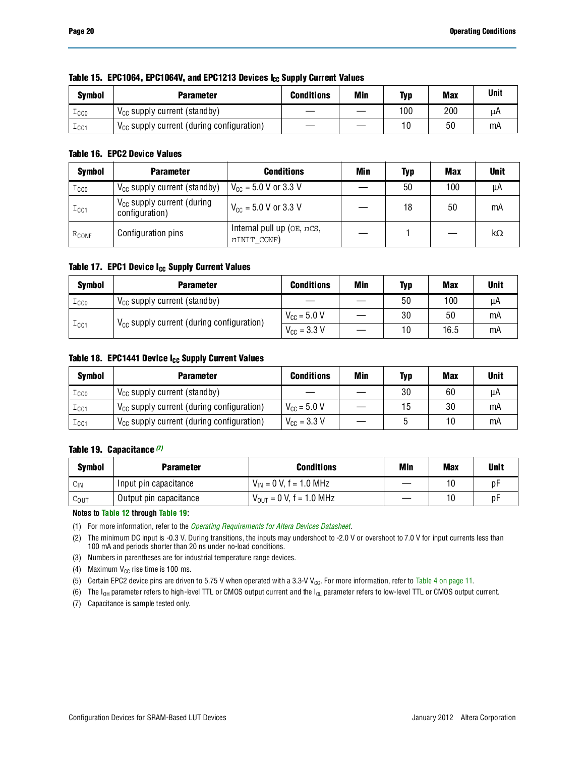| <b>Symbol</b>   | Parameter                                      | <b>Conditions</b> | Min | Typ | <b>Max</b> | <b>Unit</b> |
|-----------------|------------------------------------------------|-------------------|-----|-----|------------|-------------|
| $_{\tt LCO}$    | $V_{CC}$ supply current (standby)              |                   |     | 100 | 200        | μA          |
| $\mathtt{ICC1}$ | $V_{CC}$ supply current (during configuration) |                   |     | 10  | 50         | mA          |

### Table 15. EPC1064, EPC1064V, and EPC1213 Devices I<sub>CC</sub> Supply Current Values

### **Table 16. EPC2 Device Values**

| <b>Symbol</b>      | <b>Parameter</b>                                  | <b>Conditions</b>                                 | Min | Typ | <b>Max</b> | <b>Unit</b> |
|--------------------|---------------------------------------------------|---------------------------------------------------|-----|-----|------------|-------------|
| $_{\text{ICCO}}$   | $V_{CC}$ supply current (standby)                 | $V_{CC}$ = 5.0 V or 3.3 V                         |     | 50  | 100        | μA          |
| $\mathtt{I_{CG1}}$ | $V_{CC}$ supply current (during<br>configuration) | $V_{\text{CC}} = 5.0 \text{ V or } 3.3 \text{ V}$ |     | 18  | 50         | mA          |
| $R_{CONF}$         | Configuration pins                                | Internal pull up (OE, nCS,<br>nINIT_CONF)         |     |     |            | kΩ          |

### Table 17. EPC1 Device I<sub>CC</sub> Supply Current Values

| <b>Symbol</b>          | <b>Parameter</b>                                      | <b>Conditions</b>               | <b>Min</b> | Typ | <b>Max</b> | <b>Unit</b> |
|------------------------|-------------------------------------------------------|---------------------------------|------------|-----|------------|-------------|
| $_{\tt TCCO}$          | $V_{CC}$ supply current (standby)                     |                                 |            | 50  | 100        | uА          |
| $\perp$ <sub>CC1</sub> | $V_{\text{CC}}$ supply current (during configuration) | $V_{\text{CC}} = 5.0 V$         |            | 30  | 50         | mA          |
|                        |                                                       | $V_{\text{CC}} = 3.3 \text{ V}$ |            | 10  | 16.5       | mA          |

#### Table 18. EPC1441 Device I<sub>CC</sub> Supply Current Values

| <b>Symbol</b>    | <b>Parameter</b>                               | <b>Conditions</b>               | Min | <b>Typ</b> | <b>Max</b> | <b>Unit</b> |
|------------------|------------------------------------------------|---------------------------------|-----|------------|------------|-------------|
| $_{\tt TCCO}$    | $V_{CC}$ supply current (standby)              |                                 |     | 30         | 60         | μA          |
| $_{\text{ICC1}}$ | $V_{CC}$ supply current (during configuration) | $V_{\text{CC}} = 5.0 V$         |     | 15         | 30         | mA          |
| $_{\text{ICC1}}$ | $V_{CC}$ supply current (during configuration) | $V_{\text{CC}} = 3.3 \text{ V}$ |     |            | 10         | mA          |

#### <span id="page-19-0"></span>**Table 19. Capacitance** *[\(7\)](#page-19-7)*

| Symbol           | <b>Parameter</b>       | <b>Conditions</b>                   | Min | <b>Max</b> | Unit |
|------------------|------------------------|-------------------------------------|-----|------------|------|
| $C_{\text{IN}}$  | Input pin capacitance  | $V_{IN}$ = 0 V, f = 1.0 MHz         |     | 10         | Dŀ   |
| $C_{\text{OUT}}$ | Output pin capacitance | $V_{\text{OUT}} = 0$ V, f = 1.0 MHz |     | 10         | рŀ   |

**Notes to [Table 12](#page-18-0) through [Table 19:](#page-19-0)**

<span id="page-19-1"></span>(1) For more information, refer to the *[Operating Requirements for Altera Devices Datasheet](http://www.altera.com/literature/ds/archives/dsoprq.pdf)*.

<span id="page-19-2"></span>(2) The minimum DC input is -0.3 V. During transitions, the inputs may undershoot to -2.0 V or overshoot to 7.0 V for input currents less than 100 mA and periods shorter than 20 ns under no-load conditions.

<span id="page-19-3"></span>(3) Numbers in parentheses are for industrial temperature range devices.

<span id="page-19-4"></span>(4) Maximum  $V_{CC}$  rise time is 100 ms.

<span id="page-19-5"></span>(5) Certain EPC2 device pins are driven to 5.75 V when operated with a 3.3-V V<sub>CC</sub>. For more information, refer to [Table 4 on page 11](#page-10-0).

<span id="page-19-6"></span>(6) The  $I_{OH}$  parameter refers to high-level TTL or CMOS output current and the  $I_{OL}$  parameter refers to low-level TTL or CMOS output current.

<span id="page-19-7"></span>(7) Capacitance is sample tested only.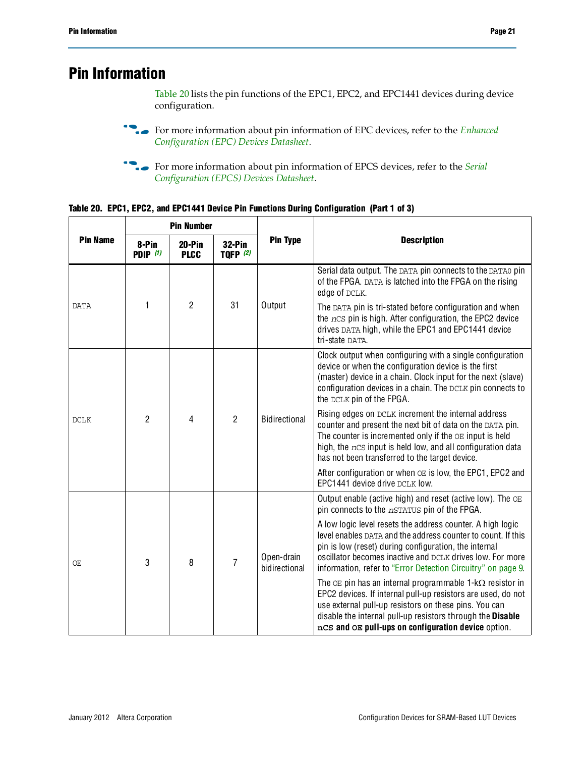# **Pin Information**

[Table 20](#page-20-0) lists the pin functions of the EPC1, EPC2, and EPC1441 devices during device configuration.

**For more information about pin information of EPC devices, refer to the** *Enhanced [Configuration \(EPC\) Devices Datasheet](http://www.altera.com/literature/hb/cfg/cfg_cf52001.pdf)*.

**for more information about pin information of EPCS devices, refer to the** *Serial [Configuration \(EPCS\) Devices Datasheet](http://www.altera.com/literature/hb/cfg/cyc_c51014.pdf)*.

<span id="page-20-0"></span>

|  | Table 20. EPC1, EPC2, and EPC1441 Device Pin Functions During Configuration (Part 1 of 3) |  |  |  |  |
|--|-------------------------------------------------------------------------------------------|--|--|--|--|
|  |                                                                                           |  |  |  |  |

|                 | <b>Pin Number</b>                                                                |                |                 |                             |                                                                                                                                                                                                                                                                                                                  |  |  |
|-----------------|----------------------------------------------------------------------------------|----------------|-----------------|-----------------------------|------------------------------------------------------------------------------------------------------------------------------------------------------------------------------------------------------------------------------------------------------------------------------------------------------------------|--|--|
| <b>Pin Name</b> | 8-Pin<br>$20-Pin$<br>32-Pin<br><b>TQFP</b> (2)<br><b>PDIP</b> (1)<br><b>PLCC</b> |                | <b>Pin Type</b> | <b>Description</b>          |                                                                                                                                                                                                                                                                                                                  |  |  |
|                 |                                                                                  |                |                 |                             | Serial data output. The DATA pin connects to the DATA0 pin<br>of the FPGA. DATA is latched into the FPGA on the rising<br>edge of DCLK.                                                                                                                                                                          |  |  |
| <b>DATA</b>     | 1                                                                                | $\overline{2}$ | 31              | Output                      | The DATA pin is tri-stated before configuration and when<br>the nCS pin is high. After configuration, the EPC2 device<br>drives DATA high, while the EPC1 and EPC1441 device<br>tri-state DATA.                                                                                                                  |  |  |
| <b>DCLK</b>     | $\overline{2}$                                                                   | 4              | $\overline{2}$  | <b>Bidirectional</b>        | Clock output when configuring with a single configuration<br>device or when the configuration device is the first<br>(master) device in a chain. Clock input for the next (slave)<br>configuration devices in a chain. The DCLK pin connects to<br>the DCLK pin of the FPGA.                                     |  |  |
|                 |                                                                                  |                |                 |                             | Rising edges on DCLK increment the internal address<br>counter and present the next bit of data on the DATA pin.<br>The counter is incremented only if the $OE$ input is held<br>high, the $ncs$ input is held low, and all configuration data<br>has not been transferred to the target device.                 |  |  |
|                 |                                                                                  |                |                 |                             | After configuration or when OE is low, the EPC1, EPC2 and<br>EPC1441 device drive DCLK low.                                                                                                                                                                                                                      |  |  |
|                 |                                                                                  | 3<br>8         | $\overline{7}$  |                             | Output enable (active high) and reset (active low). The OE<br>pin connects to the nSTATUS pin of the FPGA.                                                                                                                                                                                                       |  |  |
| ОE              |                                                                                  |                |                 | Open-drain<br>bidirectional | A low logic level resets the address counter. A high logic<br>level enables DATA and the address counter to count. If this<br>pin is low (reset) during configuration, the internal<br>oscillator becomes inactive and DCLK drives low. For more<br>information, refer to "Error Detection Circuitry" on page 9. |  |  |
|                 |                                                                                  |                |                 |                             | The $OE$ pin has an internal programmable 1- $k\Omega$ resistor in<br>EPC2 devices. If internal pull-up resistors are used, do not<br>use external pull-up resistors on these pins. You can<br>disable the internal pull-up resistors through the Disable<br>nCS and OE pull-ups on configuration device option. |  |  |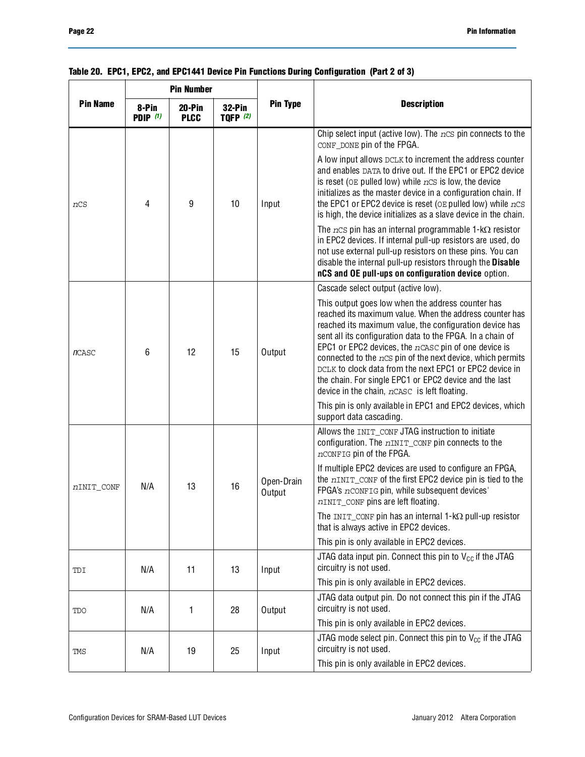|                 | <b>Pin Number</b>                                                           |    |                 |                      | <b>Description</b>                                                                                                                                                                                                                                                                                                                                                                                                                                                                                                                  |  |  |
|-----------------|-----------------------------------------------------------------------------|----|-----------------|----------------------|-------------------------------------------------------------------------------------------------------------------------------------------------------------------------------------------------------------------------------------------------------------------------------------------------------------------------------------------------------------------------------------------------------------------------------------------------------------------------------------------------------------------------------------|--|--|
| <b>Pin Name</b> | 8-Pin<br>20-Pin<br>$32-Pin$<br>PDIP $(1)$<br><b>TOFP (2)</b><br><b>PLCC</b> |    | <b>Pin Type</b> |                      |                                                                                                                                                                                                                                                                                                                                                                                                                                                                                                                                     |  |  |
|                 |                                                                             |    |                 |                      | Chip select input (active low). The $ncs$ pin connects to the<br>CONF_DONE pin of the FPGA.                                                                                                                                                                                                                                                                                                                                                                                                                                         |  |  |
| nCS             | 4                                                                           | 9  | 10              | Input                | A low input allows DCLK to increment the address counter<br>and enables DATA to drive out. If the EPC1 or EPC2 device<br>is reset ( $OE$ pulled low) while $nCS$ is low, the device<br>initializes as the master device in a configuration chain. If<br>the EPC1 or EPC2 device is reset ( $OE$ pulled low) while $nCS$<br>is high, the device initializes as a slave device in the chain.                                                                                                                                          |  |  |
|                 |                                                                             |    |                 |                      | The $ncs$ pin has an internal programmable 1-k $\Omega$ resistor<br>in EPC2 devices. If internal pull-up resistors are used, do<br>not use external pull-up resistors on these pins. You can<br>disable the internal pull-up resistors through the Disable<br>nCS and OE pull-ups on configuration device option.                                                                                                                                                                                                                   |  |  |
|                 |                                                                             |    |                 |                      | Cascade select output (active low).                                                                                                                                                                                                                                                                                                                                                                                                                                                                                                 |  |  |
| <b>n</b> CASC   | 6                                                                           | 12 | 15              | Output               | This output goes low when the address counter has<br>reached its maximum value. When the address counter has<br>reached its maximum value, the configuration device has<br>sent all its configuration data to the FPGA. In a chain of<br>EPC1 or EPC2 devices, the $n$ CASC pin of one device is<br>connected to the nCS pin of the next device, which permits<br>DCLK to clock data from the next EPC1 or EPC2 device in<br>the chain. For single EPC1 or EPC2 device and the last<br>device in the chain, nCASC is left floating. |  |  |
|                 |                                                                             |    |                 |                      | This pin is only available in EPC1 and EPC2 devices, which<br>support data cascading.                                                                                                                                                                                                                                                                                                                                                                                                                                               |  |  |
|                 | N/A                                                                         |    | 16              | Open-Drain<br>Output | Allows the INIT_CONF JTAG instruction to initiate<br>configuration. The nINIT_CONF pin connects to the<br>nCONFIG pin of the FPGA.                                                                                                                                                                                                                                                                                                                                                                                                  |  |  |
| nINIT CONF      |                                                                             | 13 |                 |                      | If multiple EPC2 devices are used to configure an FPGA,<br>the nINIT CONF of the first EPC2 device pin is tied to the<br>FPGA's nCONFIG pin, while subsequent devices'<br>nINIT_CONF pins are left floating.                                                                                                                                                                                                                                                                                                                        |  |  |
|                 |                                                                             |    |                 |                      | The $INT\_CONF$ pin has an internal 1-k $\Omega$ pull-up resistor<br>that is always active in EPC2 devices.                                                                                                                                                                                                                                                                                                                                                                                                                         |  |  |
|                 |                                                                             |    |                 |                      | This pin is only available in EPC2 devices.                                                                                                                                                                                                                                                                                                                                                                                                                                                                                         |  |  |
| TDI             | N/A                                                                         | 11 | 13              | Input                | JTAG data input pin. Connect this pin to $V_{CC}$ if the JTAG<br>circuitry is not used.                                                                                                                                                                                                                                                                                                                                                                                                                                             |  |  |
|                 |                                                                             |    |                 |                      | This pin is only available in EPC2 devices.                                                                                                                                                                                                                                                                                                                                                                                                                                                                                         |  |  |
| TDO             | N/A                                                                         | 1  | 28              | Output               | JTAG data output pin. Do not connect this pin if the JTAG<br>circuitry is not used.                                                                                                                                                                                                                                                                                                                                                                                                                                                 |  |  |
|                 |                                                                             |    |                 |                      | This pin is only available in EPC2 devices.                                                                                                                                                                                                                                                                                                                                                                                                                                                                                         |  |  |
| TMS             | N/A                                                                         | 19 | 25              | Input                | JTAG mode select pin. Connect this pin to $V_{CC}$ if the JTAG<br>circuitry is not used.                                                                                                                                                                                                                                                                                                                                                                                                                                            |  |  |
|                 |                                                                             |    |                 |                      | This pin is only available in EPC2 devices.                                                                                                                                                                                                                                                                                                                                                                                                                                                                                         |  |  |

|  |  |  |  | Table 20. EPC1, EPC2, and EPC1441 Device Pin Functions During Configuration (Part 2 of 3) |  |  |  |
|--|--|--|--|-------------------------------------------------------------------------------------------|--|--|--|
|--|--|--|--|-------------------------------------------------------------------------------------------|--|--|--|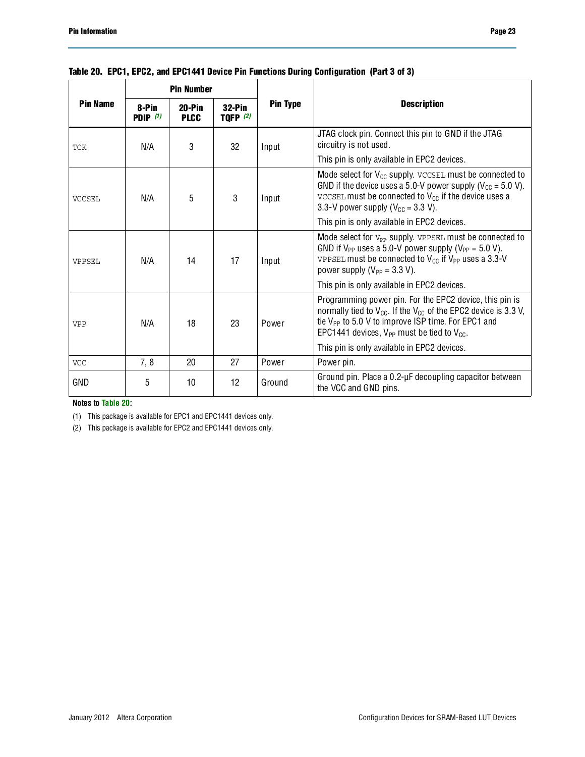|                 | <b>Pin Number</b>        |                         |                                  |                 |                                                                                                                                                                                                                                                               |  |  |
|-----------------|--------------------------|-------------------------|----------------------------------|-----------------|---------------------------------------------------------------------------------------------------------------------------------------------------------------------------------------------------------------------------------------------------------------|--|--|
| <b>Pin Name</b> | 8-Pin<br><b>PDIP</b> (1) | $20-Pin$<br><b>PLCC</b> | <b>32-Pin</b><br><b>TOFP</b> (2) | <b>Pin Type</b> | <b>Description</b>                                                                                                                                                                                                                                            |  |  |
| <b>TCK</b>      | N/A                      | 3                       | 32                               | Input           | JTAG clock pin. Connect this pin to GND if the JTAG<br>circuitry is not used.                                                                                                                                                                                 |  |  |
|                 |                          |                         |                                  |                 | This pin is only available in EPC2 devices.                                                                                                                                                                                                                   |  |  |
| <b>VCCSEL</b>   | N/A                      | 5                       | 3                                | Input           | Mode select for $V_{CC}$ supply. $VCCSEL$ must be connected to<br>GND if the device uses a 5.0-V power supply ( $V_{\text{CC}}$ = 5.0 V).<br>VCCSEL must be connected to $V_{CC}$ if the device uses a<br>3.3-V power supply ( $V_{CC}$ = 3.3 V).             |  |  |
|                 |                          |                         |                                  |                 | This pin is only available in EPC2 devices.                                                                                                                                                                                                                   |  |  |
| VPPSEL          | N/A                      | 14                      | 17                               | Input           | Mode select for $V_{PP}$ supply. VPPSEL must be connected to<br>GND if $V_{PP}$ uses a 5.0-V power supply ( $V_{PP}$ = 5.0 V).<br>VPPSEL must be connected to $V_{CC}$ if $V_{PP}$ uses a 3.3-V<br>power supply ( $V_{PP}$ = 3.3 V).                          |  |  |
|                 |                          |                         |                                  |                 | This pin is only available in EPC2 devices.                                                                                                                                                                                                                   |  |  |
| <b>VPP</b>      | N/A                      | 18                      | 23                               | Power           | Programming power pin. For the EPC2 device, this pin is<br>normally tied to $V_{CC}$ . If the $V_{CC}$ of the EPC2 device is 3.3 V,<br>tie V <sub>PP</sub> to 5.0 V to improve ISP time. For EPC1 and<br>EPC1441 devices, $V_{PP}$ must be tied to $V_{CC}$ . |  |  |
|                 |                          |                         |                                  |                 | This pin is only available in EPC2 devices.                                                                                                                                                                                                                   |  |  |
| <b>VCC</b>      | 7, 8                     | 20                      | 27                               | Power           | Power pin.                                                                                                                                                                                                                                                    |  |  |
| GND             | 5                        | 10                      | 12                               | Ground          | Ground pin. Place a 0.2-µF decoupling capacitor between<br>the VCC and GND pins.                                                                                                                                                                              |  |  |

### **Table 20. EPC1, EPC2, and EPC1441 Device Pin Functions During Configuration (Part 3 of 3)**

**Notes to [Table 20:](#page-20-0)**

<span id="page-22-0"></span>(1) This package is available for EPC1 and EPC1441 devices only.

<span id="page-22-1"></span>(2) This package is available for EPC2 and EPC1441 devices only.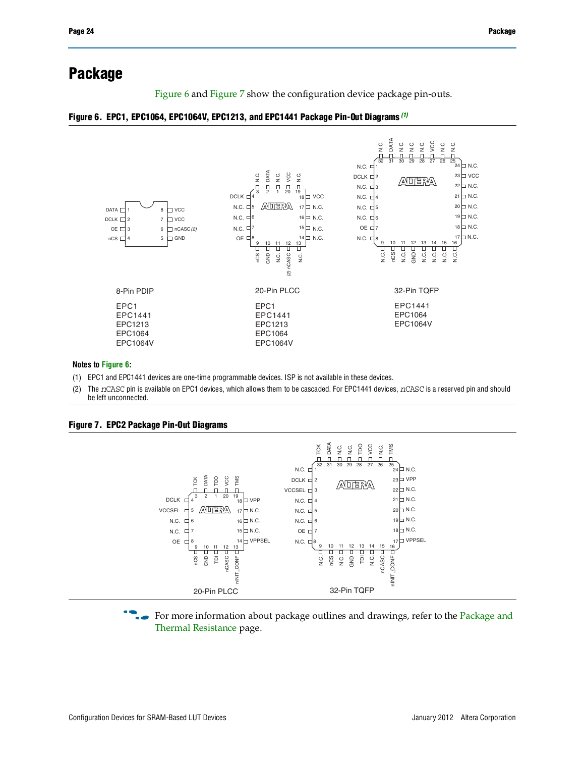# **Package**

[Figure 6](#page-23-0) and [Figure 7](#page-23-1) show the configuration device package pin-outs.

#### <span id="page-23-0"></span>**Figure 6. EPC1, EPC1064, EPC1064V, EPC1213, and EPC1441 Package Pin-Out Diagrams** *[\(1\)](#page-23-2)*



#### **Notes to [Figure](#page-23-0) 6:**

- <span id="page-23-2"></span>(1) EPC1 and EPC1441 devices are one-time programmable devices. ISP is not available in these devices.
- (2) The *n*CASC pin is available on EPC1 devices, which allows them to be cascaded. For EPC1441 devices, *n*CASC is a reserved pin and should be left unconnected.

<span id="page-23-1"></span>

For more information about package outlines and drawings, refer to the Package and

[Thermal Resistance](http://www.altera.com/support/devices/packaging/specifications/pkg-pin/spe-index.jsp) page.